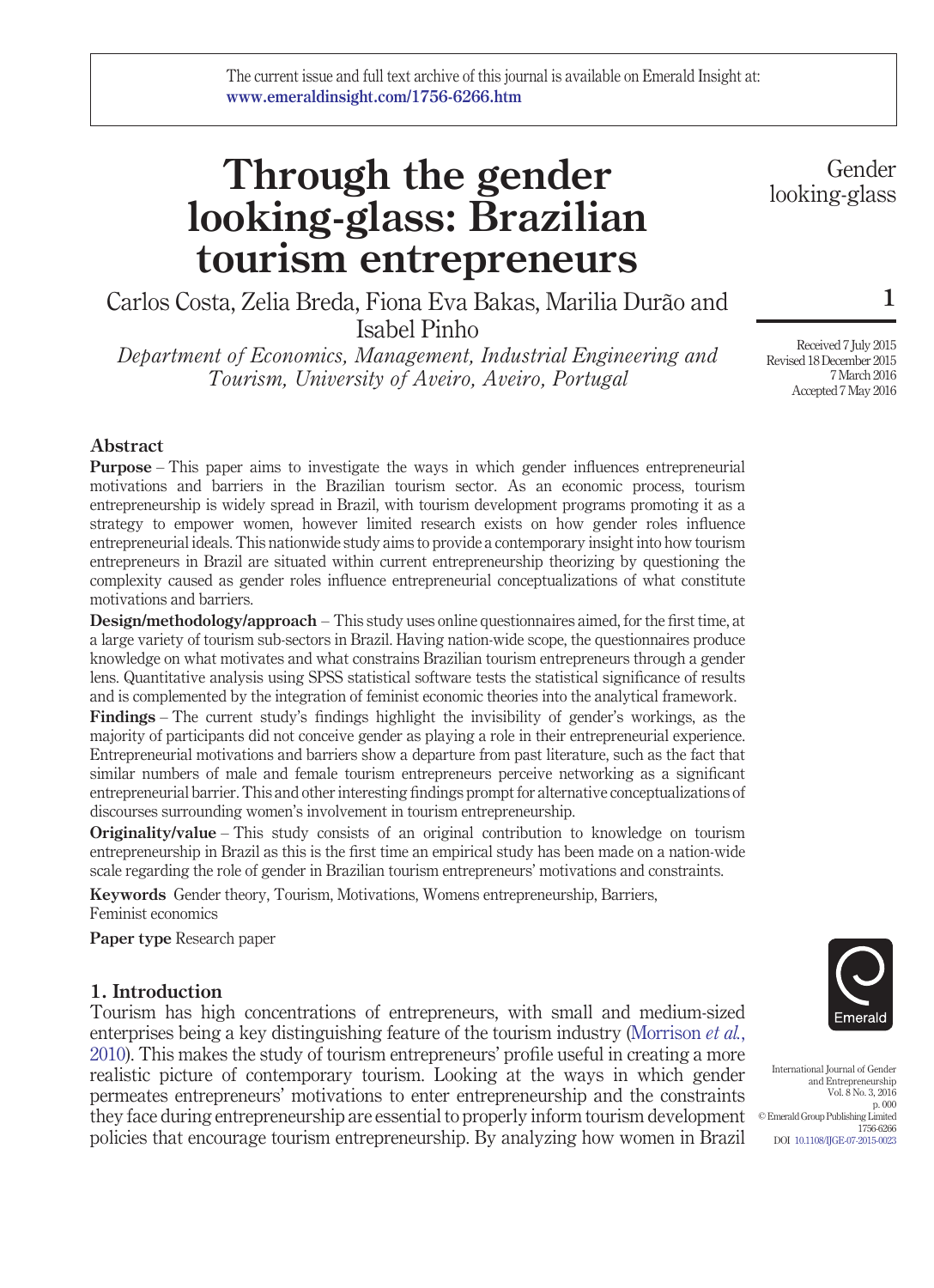# **Through the gender looking-glass: Brazilian tourism entrepreneurs**

Carlos Costa, Zelia Breda, Fiona Eva Bakas, Marilia Durão and Isabel Pinho

*Department of Economics, Management, Industrial Engineering and Tourism, University of Aveiro, Aveiro, Portugal*

Gender looking-glass

**1**

Received 7 July 2015 Revised 18 December 2015 7 March 2016 Accepted 7 May 2016

# **Abstract**

**Purpose** – This paper aims to investigate the ways in which gender influences entrepreneurial motivations and barriers in the Brazilian tourism sector. As an economic process, tourism entrepreneurship is widely spread in Brazil, with tourism development programs promoting it as a strategy to empower women, however limited research exists on how gender roles influence entrepreneurial ideals. This nationwide study aims to provide a contemporary insight into how tourism entrepreneurs in Brazil are situated within current entrepreneurship theorizing by questioning the complexity caused as gender roles influence entrepreneurial conceptualizations of what constitute motivations and barriers.

**Design/methodology/approach** – This study uses online questionnaires aimed, for the first time, at a large variety of tourism sub-sectors in Brazil. Having nation-wide scope, the questionnaires produce knowledge on what motivates and what constrains Brazilian tourism entrepreneurs through a gender lens. Quantitative analysis using SPSS statistical software tests the statistical significance of results and is complemented by the integration of feminist economic theories into the analytical framework.

**Findings** – The current study's findings highlight the invisibility of gender's workings, as the majority of participants did not conceive gender as playing a role in their entrepreneurial experience. Entrepreneurial motivations and barriers show a departure from past literature, such as the fact that similar numbers of male and female tourism entrepreneurs perceive networking as a significant entrepreneurial barrier. This and other interesting findings prompt for alternative conceptualizations of discourses surrounding women's involvement in tourism entrepreneurship.

**Originality/value** – This study consists of an original contribution to knowledge on tourism entrepreneurship in Brazil as this is the first time an empirical study has been made on a nation-wide scale regarding the role of gender in Brazilian tourism entrepreneurs' motivations and constraints.

**Keywords** Gender theory, Tourism, Motivations, Womens entrepreneurship, Barriers, Feminist economics

**Paper type** Research paper

# **1. Introduction**

Tourism has high concentrations of entrepreneurs, with small and medium-sized enterprises being a key distinguishing feature of the tourism industry [\(Morrison](#page-22-0) *et al.*, [2010\)](#page-22-0). This makes the study of tourism entrepreneurs' profile useful in creating a more realistic picture of contemporary tourism. Looking at the ways in which gender permeates entrepreneurs' motivations to enter entrepreneurship and the constraints they face during entrepreneurship are essential to properly inform tourism development policies that encourage tourism entrepreneurship. By analyzing how women in Brazil



International Journal of Gender and Entrepreneurship Vol. 8 No. 3, 2016 p. 000 © Emerald Group Publishing Limited 1756-6266 DOI [10.1108/IJGE-07-2015-0023](http://dx.doi.org/10.1108/IJGE-07-2015-0023)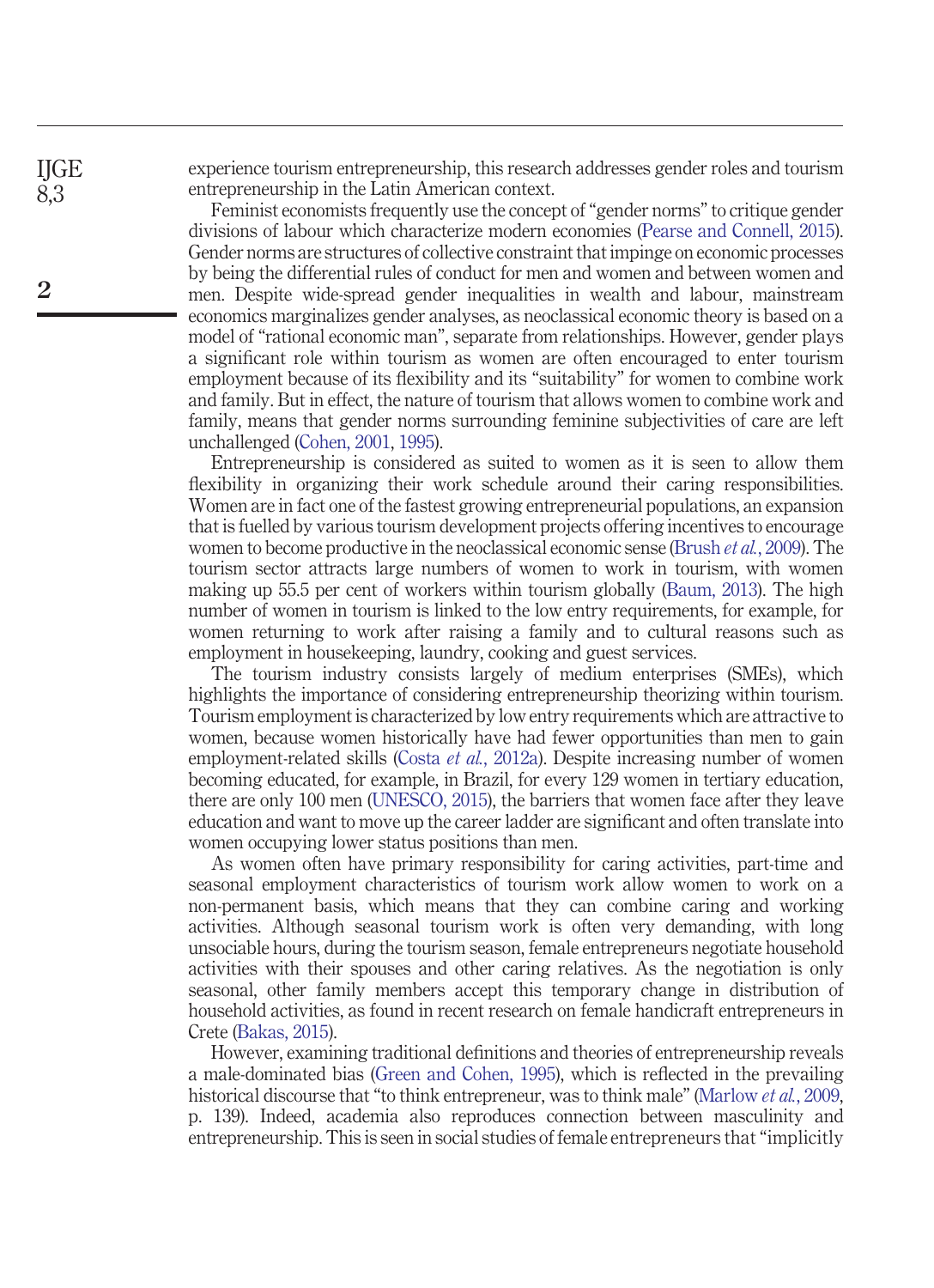experience tourism entrepreneurship, this research addresses gender roles and tourism entrepreneurship in the Latin American context.

Feminist economists frequently use the concept of "gender norms" to critique gender divisions of labour which characterize modern economies [\(Pearse and Connell, 2015\)](#page-22-1). Gender norms are structures of collective constraint that impinge on economic processes by being the differential rules of conduct for men and women and between women and men. Despite wide-spread gender inequalities in wealth and labour, mainstream economics marginalizes gender analyses, as neoclassical economic theory is based on a model of "rational economic man", separate from relationships. However, gender plays a significant role within tourism as women are often encouraged to enter tourism employment because of its flexibility and its "suitability" for women to combine work and family. But in effect, the nature of tourism that allows women to combine work and family, means that gender norms surrounding feminine subjectivities of care are left unchallenged [\(Cohen, 2001,](#page-19-0) [1995\)](#page-19-1).

Entrepreneurship is considered as suited to women as it is seen to allow them flexibility in organizing their work schedule around their caring responsibilities. Women are in fact one of the fastest growing entrepreneurial populations, an expansion that is fuelled by various tourism development projects offering incentives to encourage women to become productive in the neoclassical economic sense [\(Brush](#page-19-2) *et al.*, 2009). The tourism sector attracts large numbers of women to work in tourism, with women making up 55.5 per cent of workers within tourism globally [\(Baum, 2013\)](#page-18-0). The high number of women in tourism is linked to the low entry requirements, for example, for women returning to work after raising a family and to cultural reasons such as employment in housekeeping, laundry, cooking and guest services.

The tourism industry consists largely of medium enterprises (SMEs), which highlights the importance of considering entrepreneurship theorizing within tourism. Tourism employment is characterized by low entry requirements which are attractive to women, because women historically have had fewer opportunities than men to gain employment-related skills (Costa *et al.*[, 2012a\)](#page-19-3). Despite increasing number of women becoming educated, for example, in Brazil, for every 129 women in tertiary education, there are only 100 men [\(UNESCO, 2015\)](#page-23-0), the barriers that women face after they leave education and want to move up the career ladder are significant and often translate into women occupying lower status positions than men.

As women often have primary responsibility for caring activities, part-time and seasonal employment characteristics of tourism work allow women to work on a non-permanent basis, which means that they can combine caring and working activities. Although seasonal tourism work is often very demanding, with long unsociable hours, during the tourism season, female entrepreneurs negotiate household activities with their spouses and other caring relatives. As the negotiation is only seasonal, other family members accept this temporary change in distribution of household activities, as found in recent research on female handicraft entrepreneurs in Crete [\(Bakas, 2015\)](#page-18-1).

However, examining traditional definitions and theories of entrepreneurship reveals a male-dominated bias [\(Green and Cohen, 1995\)](#page-20-0), which is reflected in the prevailing historical discourse that "to think entrepreneur, was to think male" [\(Marlow](#page-22-2) *et al.*, 2009, p. 139). Indeed, academia also reproduces connection between masculinity and entrepreneurship. This is seen in social studies of female entrepreneurs that "implicitly

**2**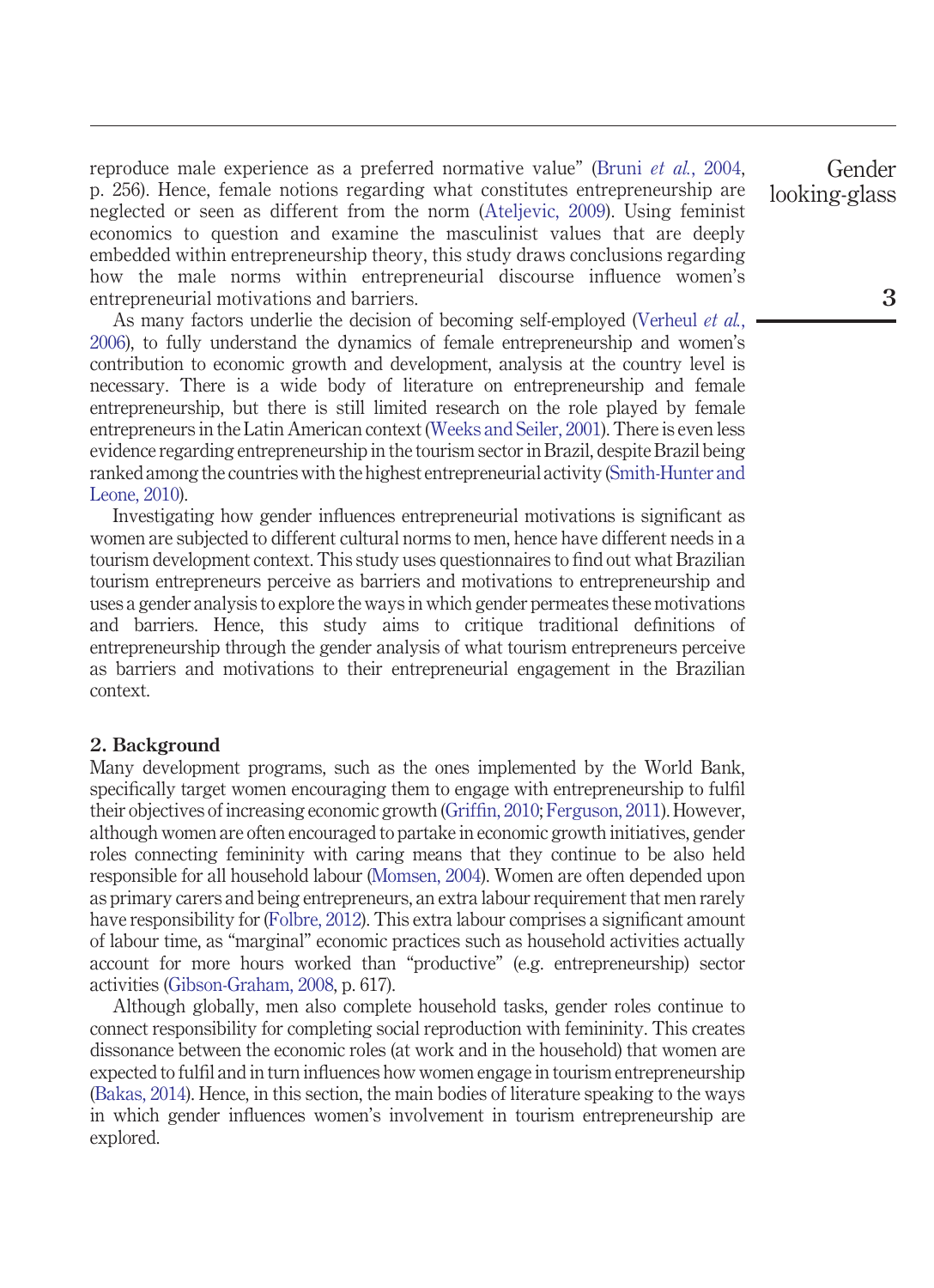reproduce male experience as a preferred normative value" (Bruni *et al.*[, 2004,](#page-19-4) p. 256). Hence, female notions regarding what constitutes entrepreneurship are neglected or seen as different from the norm [\(Ateljevic, 2009\)](#page-18-2). Using feminist economics to question and examine the masculinist values that are deeply embedded within entrepreneurship theory, this study draws conclusions regarding how the male norms within entrepreneurial discourse influence women's entrepreneurial motivations and barriers.

As many factors underlie the decision of becoming self-employed [\(Verheul](#page-23-1) *et al.*, [2006\)](#page-23-1), to fully understand the dynamics of female entrepreneurship and women's contribution to economic growth and development, analysis at the country level is necessary. There is a wide body of literature on entrepreneurship and female entrepreneurship, but there is still limited research on the role played by female entrepreneurs in the Latin American context [\(Weeks and Seiler, 2001\)](#page-23-2). There is even less evidence regarding entrepreneurship in the tourism sector in Brazil, despite Brazil being ranked among the countries with the highest entrepreneurial activity [\(Smith-Hunter and](#page-23-3) [Leone, 2010\)](#page-23-3).

Investigating how gender influences entrepreneurial motivations is significant as women are subjected to different cultural norms to men, hence have different needs in a tourism development context. This study uses questionnaires to find out what Brazilian tourism entrepreneurs perceive as barriers and motivations to entrepreneurship and uses a gender analysis to explore the ways in which gender permeates these motivations and barriers. Hence, this study aims to critique traditional definitions of entrepreneurship through the gender analysis of what tourism entrepreneurs perceive as barriers and motivations to their entrepreneurial engagement in the Brazilian context.

#### **2. Background**

Many development programs, such as the ones implemented by the World Bank, specifically target women encouraging them to engage with entrepreneurship to fulfil their objectives of increasing economic growth [\(Griffin, 2010;](#page-20-1) [Ferguson, 2011\)](#page-20-2). However, although women are often encouraged to partake in economic growth initiatives, gender roles connecting femininity with caring means that they continue to be also held responsible for all household labour [\(Momsen, 2004\)](#page-22-3). Women are often depended upon as primary carers and being entrepreneurs, an extra labour requirement that men rarely have responsibility for [\(Folbre, 2012\)](#page-20-3). This extra labour comprises a significant amount of labour time, as "marginal" economic practices such as household activities actually account for more hours worked than "productive" (e.g. entrepreneurship) sector activities [\(Gibson-Graham, 2008,](#page-20-4) p. 617).

Although globally, men also complete household tasks, gender roles continue to connect responsibility for completing social reproduction with femininity. This creates dissonance between the economic roles (at work and in the household) that women are expected to fulfil and in turn influences how women engage in tourism entrepreneurship [\(Bakas, 2014\)](#page-18-3). Hence, in this section, the main bodies of literature speaking to the ways in which gender influences women's involvement in tourism entrepreneurship are explored.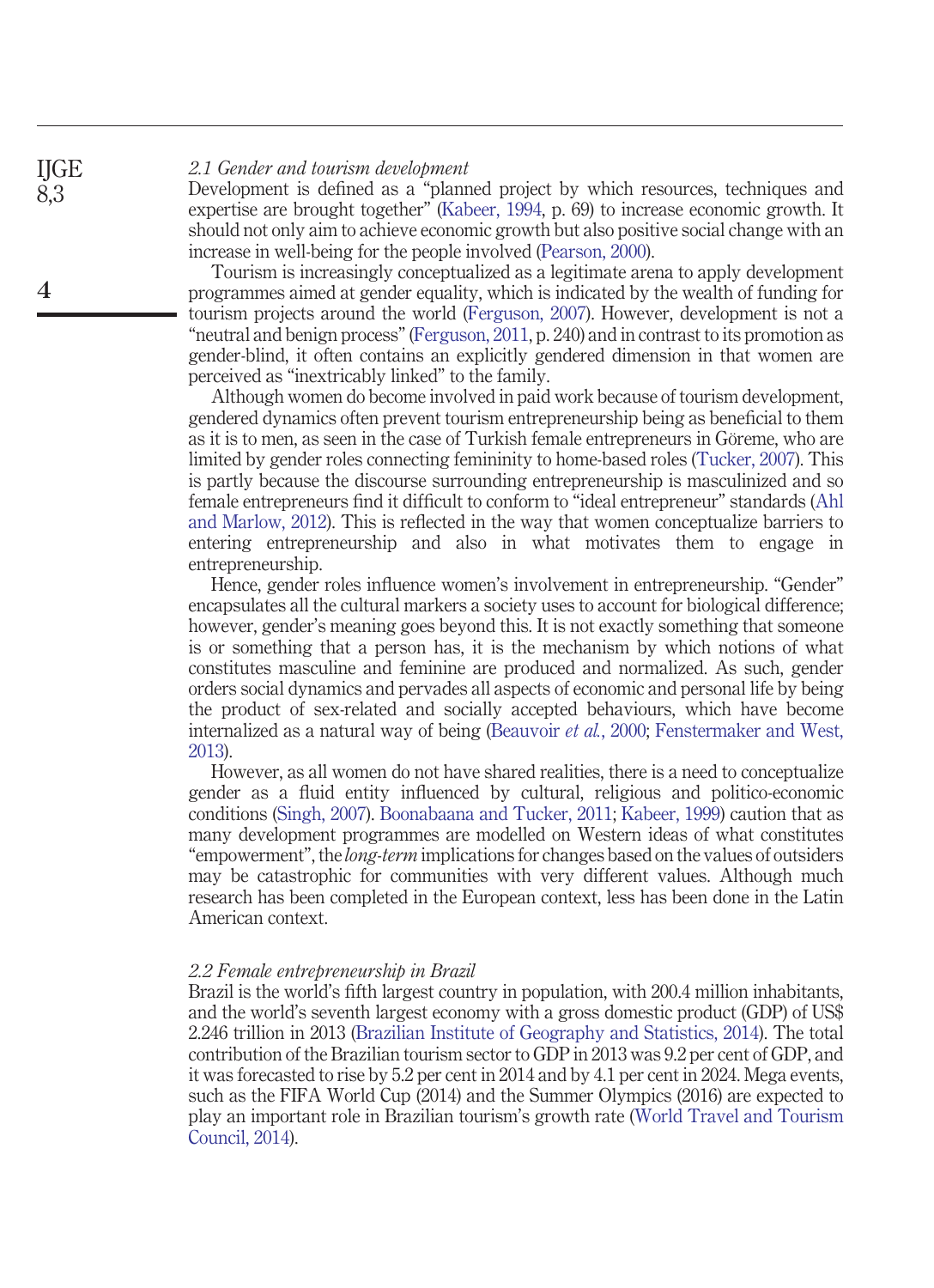#### *2.1 Gender and tourism development*

Development is defined as a "planned project by which resources, techniques and expertise are brought together" [\(Kabeer, 1994,](#page-21-0) p. 69) to increase economic growth. It should not only aim to achieve economic growth but also positive social change with an increase in well-being for the people involved [\(Pearson, 2000\)](#page-22-4).

Tourism is increasingly conceptualized as a legitimate arena to apply development programmes aimed at gender equality, which is indicated by the wealth of funding for tourism projects around the world [\(Ferguson, 2007\)](#page-20-5). However, development is not a "neutral and benign process" [\(Ferguson, 2011,](#page-20-2) p. 240) and in contrast to its promotion as gender-blind, it often contains an explicitly gendered dimension in that women are perceived as "inextricably linked" to the family.

Although women do become involved in paid work because of tourism development, gendered dynamics often prevent tourism entrepreneurship being as beneficial to them as it is to men, as seen in the case of Turkish female entrepreneurs in Göreme, who are limited by gender roles connecting femininity to home-based roles [\(Tucker, 2007\)](#page-23-4). This is partly because the discourse surrounding entrepreneurship is masculinized and so female entrepreneurs find it difficult to conform to "ideal entrepreneur" standards [\(Ahl](#page-18-4) [and Marlow, 2012\)](#page-18-4). This is reflected in the way that women conceptualize barriers to entering entrepreneurship and also in what motivates them to engage in entrepreneurship.

Hence, gender roles influence women's involvement in entrepreneurship. "Gender" encapsulates all the cultural markers a society uses to account for biological difference; however, gender's meaning goes beyond this. It is not exactly something that someone is or something that a person has, it is the mechanism by which notions of what constitutes masculine and feminine are produced and normalized. As such, gender orders social dynamics and pervades all aspects of economic and personal life by being the product of sex-related and socially accepted behaviours, which have become internalized as a natural way of being [\(Beauvoir](#page-18-5) *et al.*, 2000; [Fenstermaker and West,](#page-20-6) [2013\)](#page-20-6).

However, as all women do not have shared realities, there is a need to conceptualize gender as a fluid entity influenced by cultural, religious and politico-economic conditions [\(Singh, 2007\)](#page-23-5). [Boonabaana and Tucker, 2011;](#page-23-6) [Kabeer, 1999\)](#page-21-1) caution that as many development programmes are modelled on Western ideas of what constitutes "empowerment", the *long-term* implications for changes based on the values of outsiders may be catastrophic for communities with very different values. Although much research has been completed in the European context, less has been done in the Latin American context.

## *2.2 Female entrepreneurship in Brazil*

Brazil is the world's fifth largest country in population, with 200.4 million inhabitants, and the world's seventh largest economy with a gross domestic product (GDP) of US\$ 2.246 trillion in 2013 [\(Brazilian Institute of Geography and Statistics, 2014\)](#page-18-6). The total contribution of the Brazilian tourism sector to GDP in 2013 was 9.2 per cent of GDP, and it was forecasted to rise by 5.2 per cent in 2014 and by 4.1 per cent in 2024. Mega events, such as the FIFA World Cup (2014) and the Summer Olympics (2016) are expected to play an important role in Brazilian tourism's growth rate [\(World Travel and Tourism](#page-23-7) [Council, 2014\)](#page-23-7).

**4**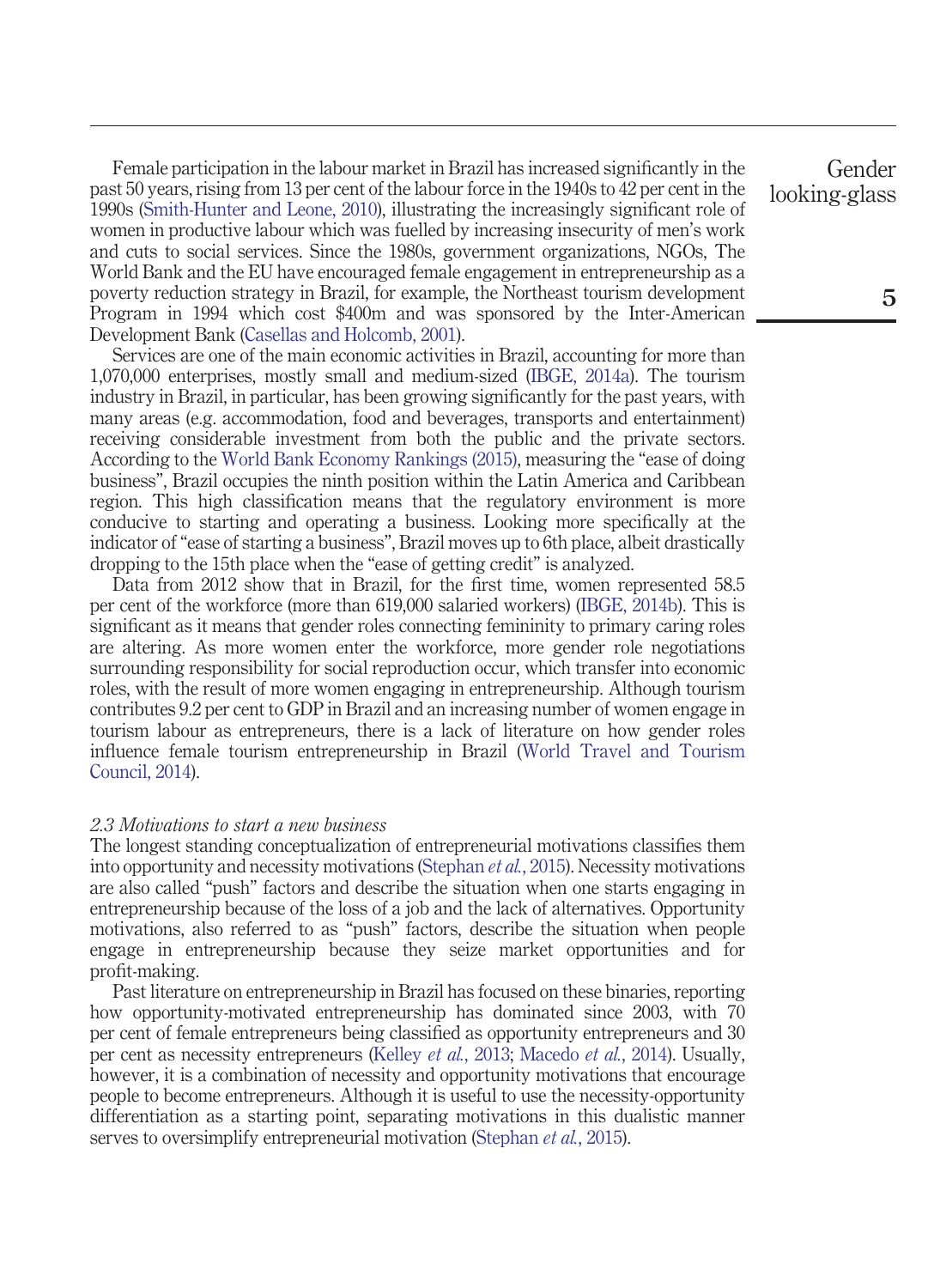Female participation in the labour market in Brazil has increased significantly in the past 50 years, rising from 13 per cent of the labour force in the 1940s to 42 per cent in the 1990s [\(Smith-Hunter and Leone, 2010\)](#page-23-3), illustrating the increasingly significant role of women in productive labour which was fuelled by increasing insecurity of men's work and cuts to social services. Since the 1980s, government organizations, NGOs, The World Bank and the EU have encouraged female engagement in entrepreneurship as a poverty reduction strategy in Brazil, for example, the Northeast tourism development Program in 1994 which cost \$400m and was sponsored by the Inter-American Development Bank [\(Casellas and Holcomb, 2001\)](#page-19-5).

Services are one of the main economic activities in Brazil, accounting for more than 1,070,000 enterprises, mostly small and medium-sized [\(IBGE, 2014a\)](#page-21-2). The tourism industry in Brazil, in particular, has been growing significantly for the past years, with many areas (e.g. accommodation, food and beverages, transports and entertainment) receiving considerable investment from both the public and the private sectors. According to the [World Bank Economy Rankings \(2015\),](#page-23-8) measuring the "ease of doing business", Brazil occupies the ninth position within the Latin America and Caribbean region. This high classification means that the regulatory environment is more conducive to starting and operating a business. Looking more specifically at the indicator of "ease of starting a business", Brazil moves up to 6th place, albeit drastically dropping to the 15th place when the "ease of getting credit" is analyzed.

Data from 2012 show that in Brazil, for the first time, women represented 58.5 per cent of the workforce (more than 619,000 salaried workers) [\(IBGE, 2014b\)](#page-21-3). This is significant as it means that gender roles connecting femininity to primary caring roles are altering. As more women enter the workforce, more gender role negotiations surrounding responsibility for social reproduction occur, which transfer into economic roles, with the result of more women engaging in entrepreneurship. Although tourism contributes 9.2 per cent to GDP in Brazil and an increasing number of women engage in tourism labour as entrepreneurs, there is a lack of literature on how gender roles influence female tourism entrepreneurship in Brazil [\(World Travel and Tourism](#page-23-7) [Council, 2014\)](#page-23-7).

#### *2.3 Motivations to start a new business*

The longest standing conceptualization of entrepreneurial motivations classifies them into opportunity and necessity motivations [\(Stephan](#page-23-9) *et al.*, 2015). Necessity motivations are also called "push" factors and describe the situation when one starts engaging in entrepreneurship because of the loss of a job and the lack of alternatives. Opportunity motivations, also referred to as "push" factors, describe the situation when people engage in entrepreneurship because they seize market opportunities and for profit-making.

Past literature on entrepreneurship in Brazil has focused on these binaries, reporting how opportunity-motivated entrepreneurship has dominated since 2003, with 70 per cent of female entrepreneurs being classified as opportunity entrepreneurs and 30 per cent as necessity entrepreneurs [\(Kelley](#page-21-4) *et al.*, 2013; [Macedo](#page-19-6) *et al.*, 2014). Usually, however, it is a combination of necessity and opportunity motivations that encourage people to become entrepreneurs. Although it is useful to use the necessity-opportunity differentiation as a starting point, separating motivations in this dualistic manner serves to oversimplify entrepreneurial motivation [\(Stephan](#page-23-9) *et al.*, 2015).

Gender looking-glass

**5**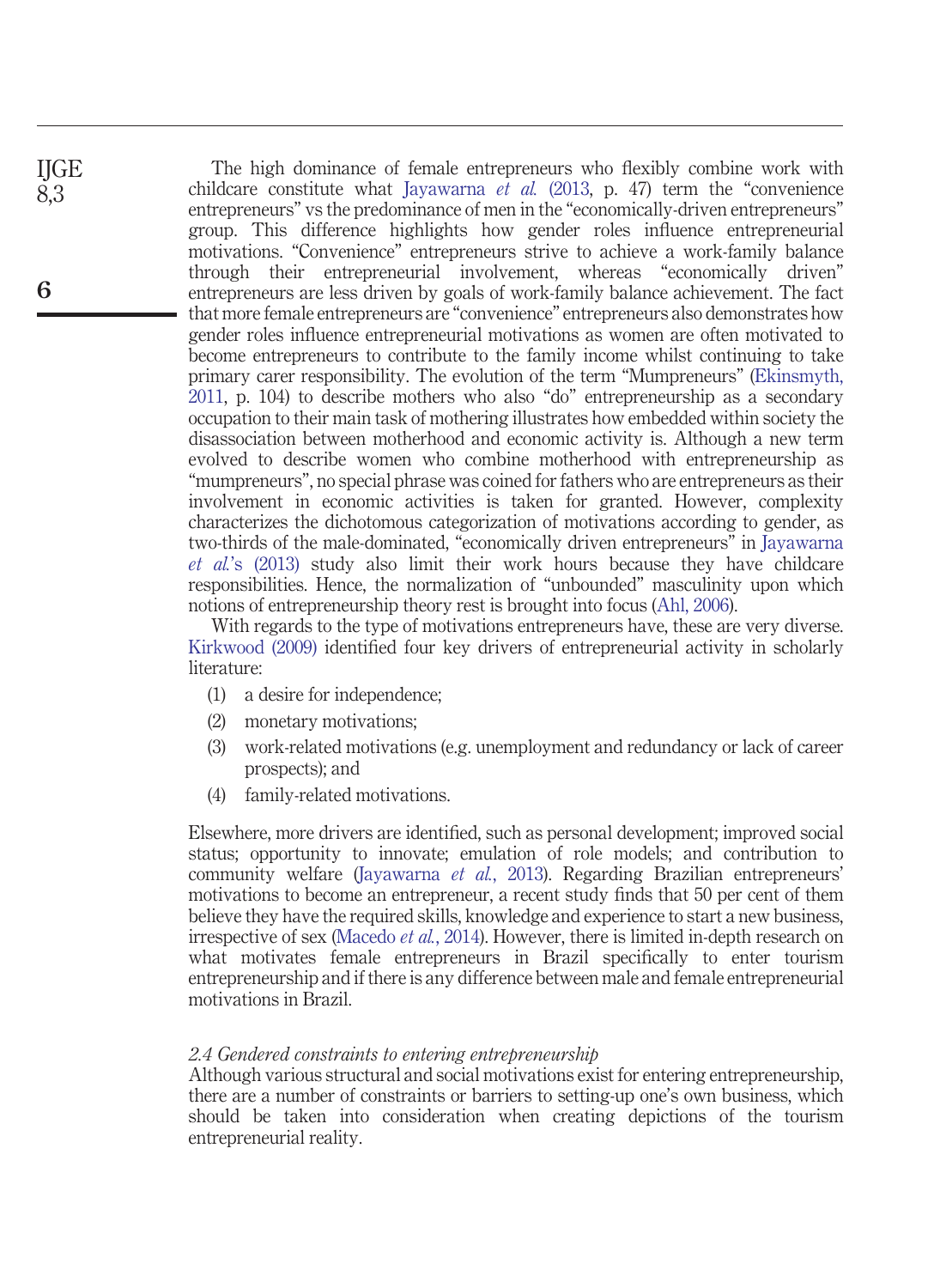The high dominance of female entrepreneurs who flexibly combine work with childcare constitute what [Jayawarna](#page-21-5) *et al.* (2013, p. 47) term the "convenience entrepreneurs" vs the predominance of men in the "economically-driven entrepreneurs" group. This difference highlights how gender roles influence entrepreneurial motivations. "Convenience" entrepreneurs strive to achieve a work-family balance through their entrepreneurial involvement, whereas "economically driven" entrepreneurs are less driven by goals of work-family balance achievement. The fact that more female entrepreneurs are "convenience" entrepreneurs also demonstrates how gender roles influence entrepreneurial motivations as women are often motivated to become entrepreneurs to contribute to the family income whilst continuing to take primary carer responsibility. The evolution of the term "Mumpreneurs" [\(Ekinsmyth,](#page-20-7) [2011,](#page-20-7) p. 104) to describe mothers who also "do" entrepreneurship as a secondary occupation to their main task of mothering illustrates how embedded within society the disassociation between motherhood and economic activity is. Although a new term evolved to describe women who combine motherhood with entrepreneurship as "mumpreneurs", no special phrase was coined for fathers who are entrepreneurs as their involvement in economic activities is taken for granted. However, complexity characterizes the dichotomous categorization of motivations according to gender, as two-thirds of the male-dominated, "economically driven entrepreneurs" in [Jayawarna](#page-21-5) *et al.*['s \(2013\)](#page-21-5) study also limit their work hours because they have childcare responsibilities. Hence, the normalization of "unbounded" masculinity upon which notions of entrepreneurship theory rest is brought into focus [\(Ahl, 2006\)](#page-18-7).

With regards to the type of motivations entrepreneurs have, these are very diverse. [Kirkwood \(2009\)](#page-21-6) identified four key drivers of entrepreneurial activity in scholarly literature:

- (1) a desire for independence;
- (2) monetary motivations;
- (3) work-related motivations (e.g. unemployment and redundancy or lack of career prospects); and
- (4) family-related motivations.

Elsewhere, more drivers are identified, such as personal development; improved social status; opportunity to innovate; emulation of role models; and contribution to community welfare [\(Jayawarna](#page-21-5) *et al.*, 2013). Regarding Brazilian entrepreneurs' motivations to become an entrepreneur, a recent study finds that 50 per cent of them believe they have the required skills, knowledge and experience to start a new business, irrespective of sex [\(Macedo](#page-19-6) *et al.*, 2014). However, there is limited in-depth research on what motivates female entrepreneurs in Brazil specifically to enter tourism entrepreneurship and if there is any difference between male and female entrepreneurial motivations in Brazil.

# *2.4 Gendered constraints to entering entrepreneurship*

Although various structural and social motivations exist for entering entrepreneurship, there are a number of constraints or barriers to setting-up one's own business, which should be taken into consideration when creating depictions of the tourism entrepreneurial reality.

**6**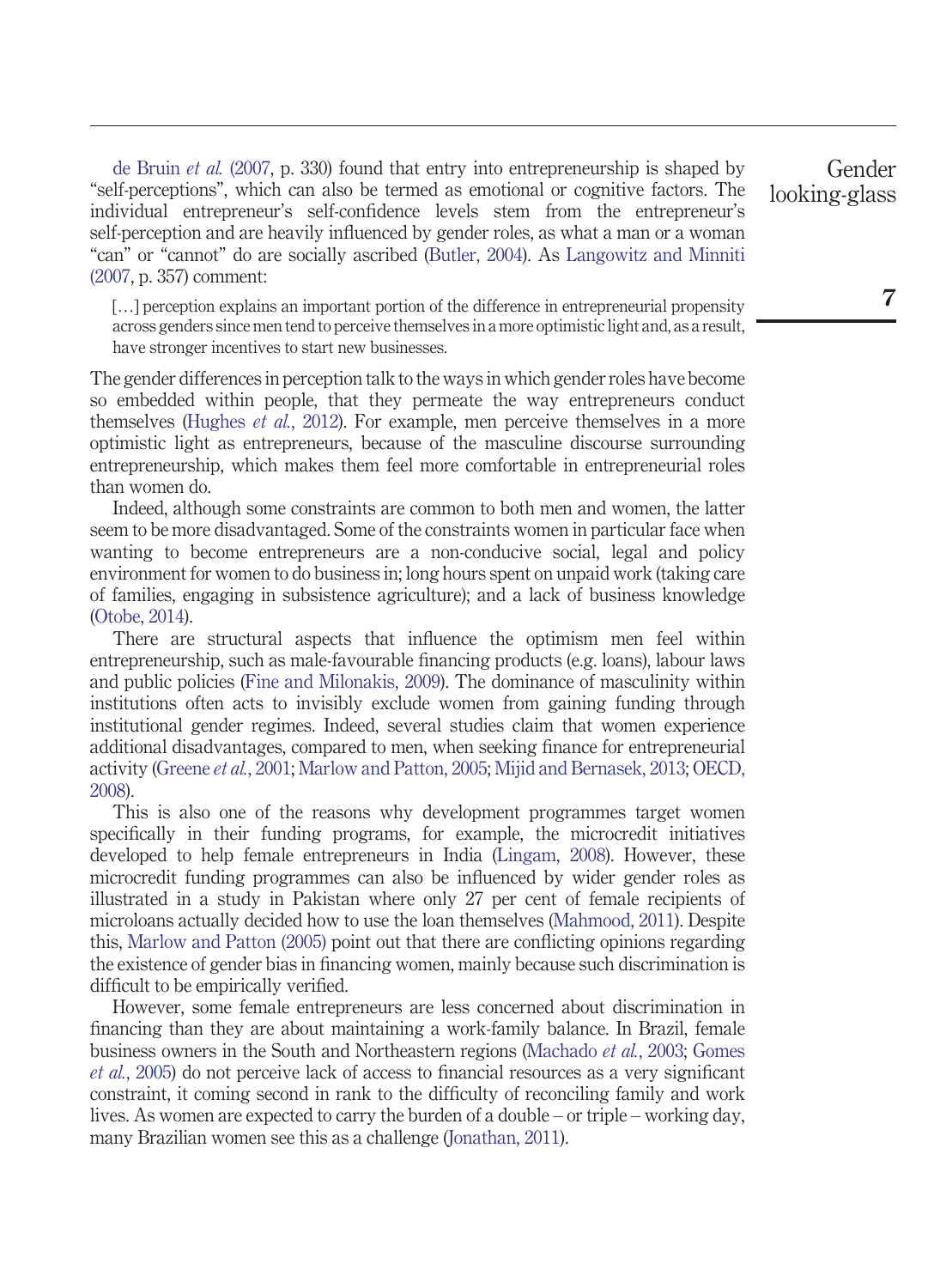[de Bruin](#page-19-7) *et al.* (2007, p. 330) found that entry into entrepreneurship is shaped by "self-perceptions", which can also be termed as emotional or cognitive factors. The individual entrepreneur's self-confidence levels stem from the entrepreneur's self-perception and are heavily influenced by gender roles, as what a man or a woman "can" or "cannot" do are socially ascribed [\(Butler, 2004\)](#page-19-8). As [Langowitz and Minniti](#page-21-7) [\(2007,](#page-21-7) p. 357) comment:

[...] perception explains an important portion of the difference in entrepreneurial propensity across genders since men tend to perceive themselves in a more optimistic light and, as a result, have stronger incentives to start new businesses.

The gender differences in perception talk to the ways in which gender roles have become so embedded within people, that they permeate the way entrepreneurs conduct themselves [\(Hughes](#page-21-8) *et al.*, 2012). For example, men perceive themselves in a more optimistic light as entrepreneurs, because of the masculine discourse surrounding entrepreneurship, which makes them feel more comfortable in entrepreneurial roles than women do.

Indeed, although some constraints are common to both men and women, the latter seem to be more disadvantaged. Some of the constraints women in particular face when wanting to become entrepreneurs are a non-conducive social, legal and policy environment for women to do business in; long hours spent on unpaid work (taking care of families, engaging in subsistence agriculture); and a lack of business knowledge [\(Otobe, 2014\)](#page-22-5).

There are structural aspects that influence the optimism men feel within entrepreneurship, such as male-favourable financing products (e.g. loans), labour laws and public policies [\(Fine and Milonakis, 2009\)](#page-20-8). The dominance of masculinity within institutions often acts to invisibly exclude women from gaining funding through institutional gender regimes. Indeed, several studies claim that women experience additional disadvantages, compared to men, when seeking finance for entrepreneurial activity [\(Greene](#page-20-9) *et al.*, 2001; [Marlow and Patton, 2005;](#page-22-6) [Mijid and Bernasek, 2013;](#page-22-7) [OECD,](#page-22-8) [2008\)](#page-22-8).

This is also one of the reasons why development programmes target women specifically in their funding programs, for example, the microcredit initiatives developed to help female entrepreneurs in India [\(Lingam, 2008\)](#page-22-9). However, these microcredit funding programmes can also be influenced by wider gender roles as illustrated in a study in Pakistan where only 27 per cent of female recipients of microloans actually decided how to use the loan themselves [\(Mahmood, 2011\)](#page-22-10). Despite this, [Marlow and Patton \(2005\)](#page-22-6) point out that there are conflicting opinions regarding the existence of gender bias in financing women, mainly because such discrimination is difficult to be empirically verified.

However, some female entrepreneurs are less concerned about discrimination in financing than they are about maintaining a work-family balance. In Brazil, female business owners in the South and Northeastern regions [\(Machado](#page-22-11) *et al.*, 2003; [Gomes](#page-20-10) *et al.*[, 2005\)](#page-20-10) do not perceive lack of access to financial resources as a very significant constraint, it coming second in rank to the difficulty of reconciling family and work lives. As women are expected to carry the burden of a double – or triple – working day, many Brazilian women see this as a challenge [\(Jonathan, 2011\)](#page-21-9).

Gender looking-glass

**7**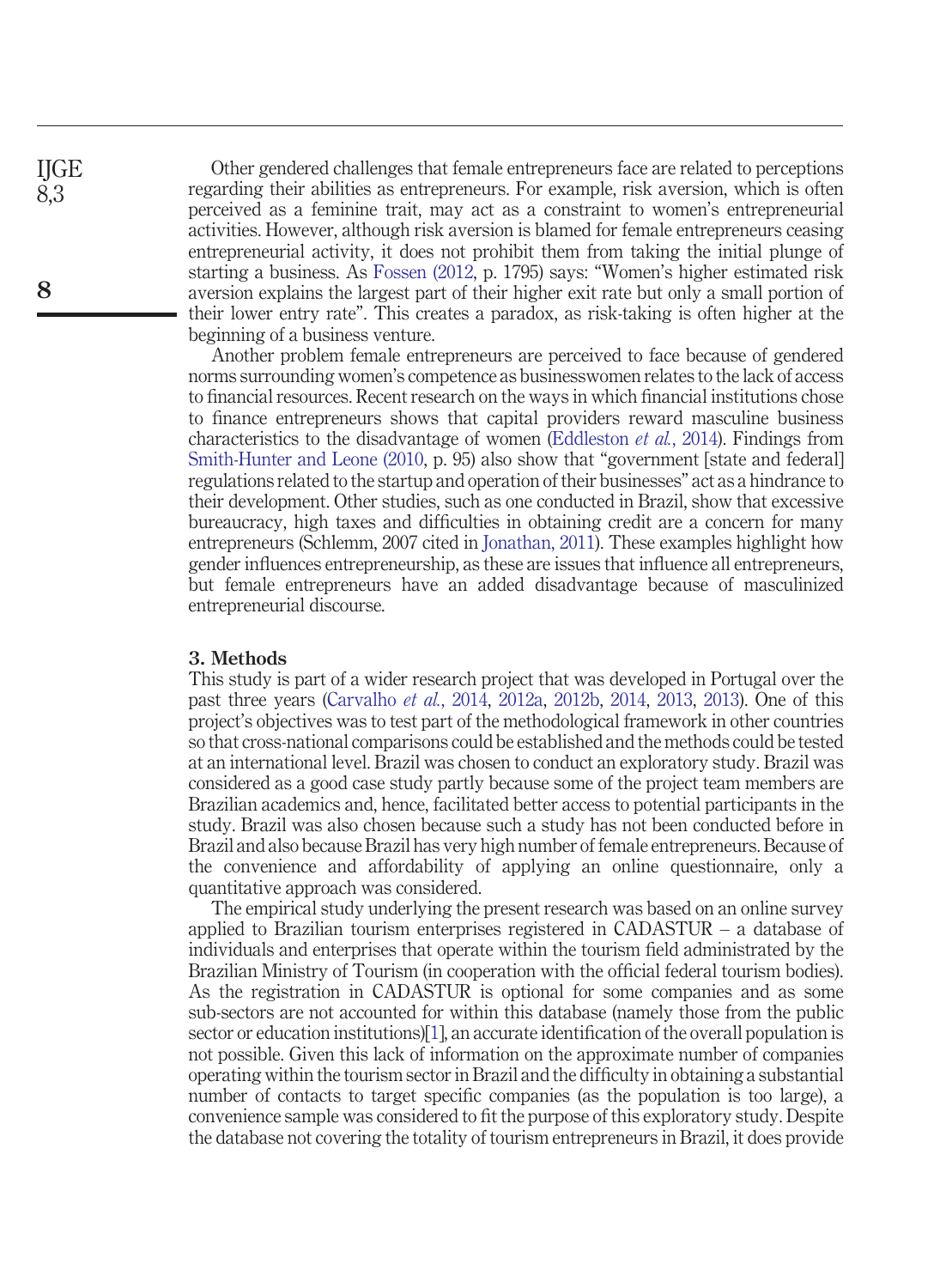Other gendered challenges that female entrepreneurs face are related to perceptions regarding their abilities as entrepreneurs. For example, risk aversion, which is often perceived as a feminine trait, may act as a constraint to women's entrepreneurial activities. However, although risk aversion is blamed for female entrepreneurs ceasing entrepreneurial activity, it does not prohibit them from taking the initial plunge of starting a business. As [Fossen \(2012,](#page-20-11) p. 1795) says: "Women's higher estimated risk aversion explains the largest part of their higher exit rate but only a small portion of their lower entry rate". This creates a paradox, as risk-taking is often higher at the beginning of a business venture.

Another problem female entrepreneurs are perceived to face because of gendered norms surrounding women's competence as businesswomen relates to the lack of access to financial resources. Recent research on the ways in which financial institutions chose to finance entrepreneurs shows that capital providers reward masculine business characteristics to the disadvantage of women [\(Eddleston](#page-20-12) *et al.*, 2014). Findings from [Smith-Hunter and Leone \(2010,](#page-23-3) p. 95) also show that "government [state and federal] regulations related to the startup and operation of their businesses" act as a hindrance to their development. Other studies, such as one conducted in Brazil, show that excessive bureaucracy, high taxes and difficulties in obtaining credit are a concern for many entrepreneurs (Schlemm, 2007 cited in [Jonathan, 2011\)](#page-21-9). These examples highlight how gender influences entrepreneurship, as these are issues that influence all entrepreneurs, but female entrepreneurs have an added disadvantage because of masculinized entrepreneurial discourse.

#### **3. Methods**

This study is part of a wider research project that was developed in Portugal over the past three years [\(Carvalho](#page-19-9) *et al.*, 2014, [2012a,](#page-19-3) [2012b,](#page-19-10) [2014,](#page-19-11) [2013,](#page-19-12) [2013\)](#page-19-12). One of this project's objectives was to test part of the methodological framework in other countries so that cross-national comparisons could be established and the methods could be tested at an international level. Brazil was chosen to conduct an exploratory study. Brazil was considered as a good case study partly because some of the project team members are Brazilian academics and, hence, facilitated better access to potential participants in the study. Brazil was also chosen because such a study has not been conducted before in Brazil and also because Brazil has very high number of female entrepreneurs. Because of the convenience and affordability of applying an online questionnaire, only a quantitative approach was considered.

The empirical study underlying the present research was based on an online survey applied to Brazilian tourism enterprises registered in CADASTUR – a database of individuals and enterprises that operate within the tourism field administrated by the Brazilian Ministry of Tourism (in cooperation with the official federal tourism bodies). As the registration in CADASTUR is optional for some companies and as some sub-sectors are not accounted for within this database (namely those from the public sector or education institutions)[\[1\]](#page-18-8), an accurate identification of the overall population is not possible. Given this lack of information on the approximate number of companies operating within the tourism sector in Brazil and the difficulty in obtaining a substantial number of contacts to target specific companies (as the population is too large), a convenience sample was considered to fit the purpose of this exploratory study. Despite the database not covering the totality of tourism entrepreneurs in Brazil, it does provide

**IIGE** 8,3

**8**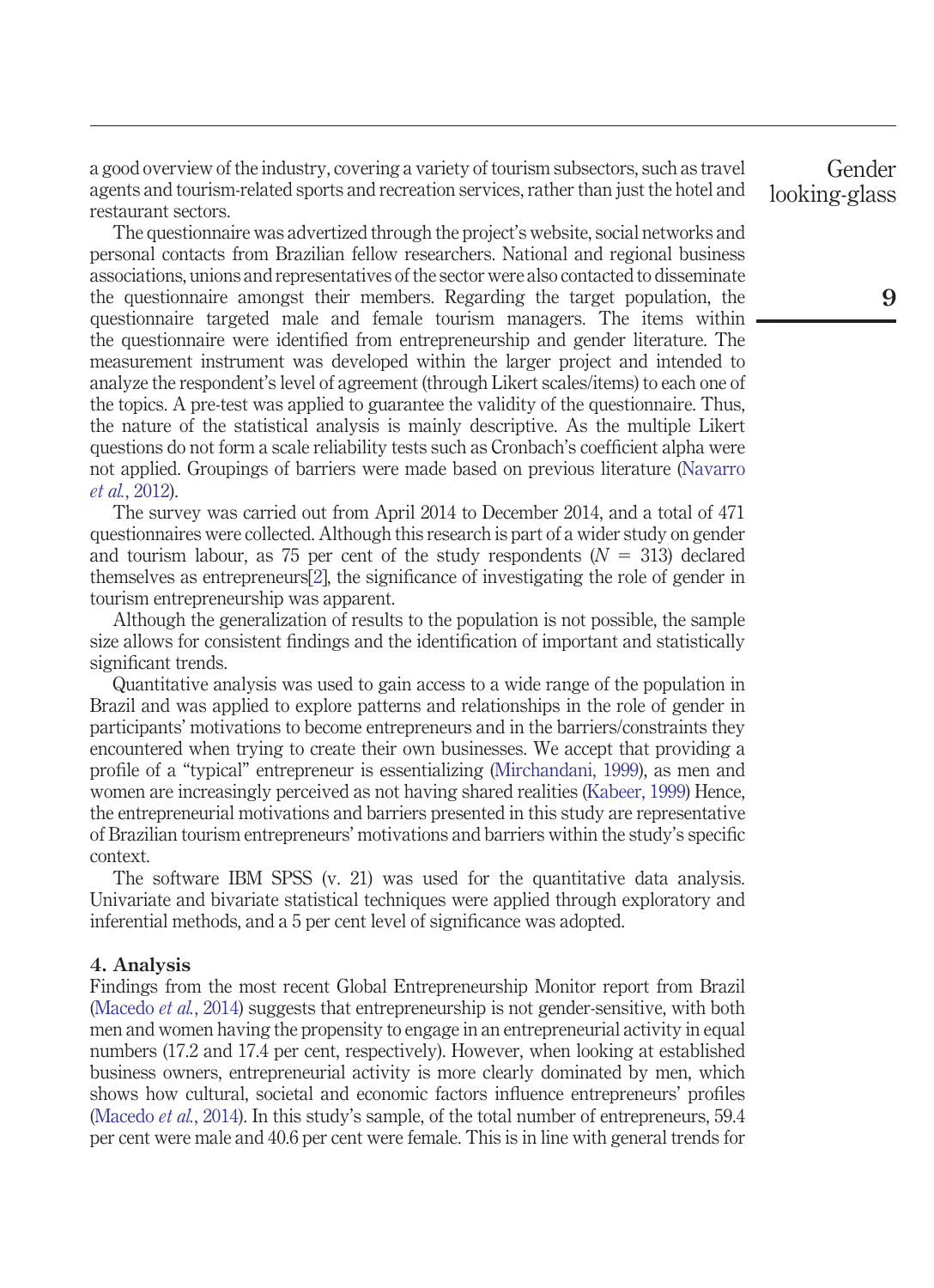a good overview of the industry, covering a variety of tourism subsectors, such as travel agents and tourism-related sports and recreation services, rather than just the hotel and restaurant sectors.

The questionnaire was advertized through the project's website, social networks and personal contacts from Brazilian fellow researchers. National and regional business associations, unions and representatives of the sector were also contacted to disseminate the questionnaire amongst their members. Regarding the target population, the questionnaire targeted male and female tourism managers. The items within the questionnaire were identified from entrepreneurship and gender literature. The measurement instrument was developed within the larger project and intended to analyze the respondent's level of agreement (through Likert scales/items) to each one of the topics. A pre-test was applied to guarantee the validity of the questionnaire. Thus, the nature of the statistical analysis is mainly descriptive. As the multiple Likert questions do not form a scale reliability tests such as Cronbach's coefficient alpha were not applied. Groupings of barriers were made based on previous literature [\(Navarro](#page-22-12) *et al.*[, 2012\)](#page-22-12).

The survey was carried out from April 2014 to December 2014, and a total of 471 questionnaires were collected. Although this research is part of a wider study on gender and tourism labour, as 75 per cent of the study respondents  $(N = 313)$  declared themselves as entrepreneurs[\[2\]](#page-18-9), the significance of investigating the role of gender in tourism entrepreneurship was apparent.

Although the generalization of results to the population is not possible, the sample size allows for consistent findings and the identification of important and statistically significant trends.

Quantitative analysis was used to gain access to a wide range of the population in Brazil and was applied to explore patterns and relationships in the role of gender in participants' motivations to become entrepreneurs and in the barriers/constraints they encountered when trying to create their own businesses. We accept that providing a profile of a "typical" entrepreneur is essentializing [\(Mirchandani, 1999\)](#page-22-13), as men and women are increasingly perceived as not having shared realities [\(Kabeer, 1999\)](#page-21-1) Hence, the entrepreneurial motivations and barriers presented in this study are representative of Brazilian tourism entrepreneurs' motivations and barriers within the study's specific context.

The software IBM SPSS (v. 21) was used for the quantitative data analysis. Univariate and bivariate statistical techniques were applied through exploratory and inferential methods, and a 5 per cent level of significance was adopted.

## **4. Analysis**

Findings from the most recent Global Entrepreneurship Monitor report from Brazil [\(Macedo](#page-19-6) *et al.*, 2014) suggests that entrepreneurship is not gender-sensitive, with both men and women having the propensity to engage in an entrepreneurial activity in equal numbers (17.2 and 17.4 per cent, respectively). However, when looking at established business owners, entrepreneurial activity is more clearly dominated by men, which shows how cultural, societal and economic factors influence entrepreneurs' profiles [\(Macedo](#page-19-6) *et al.*, 2014). In this study's sample, of the total number of entrepreneurs, 59.4 per cent were male and 40.6 per cent were female. This is in line with general trends for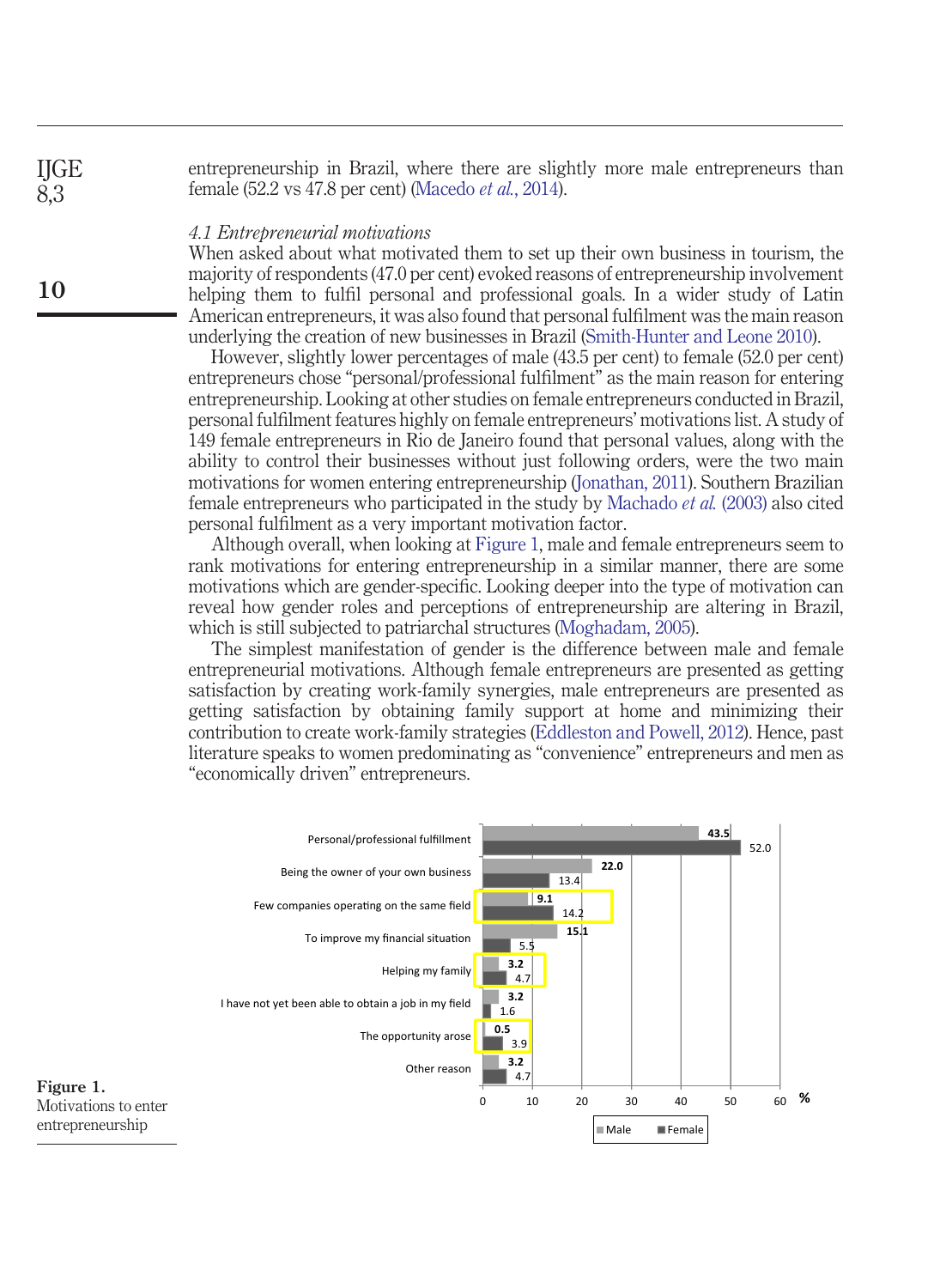entrepreneurship in Brazil, where there are slightly more male entrepreneurs than female (52.2 vs 47.8 per cent) [\(Macedo](#page-19-6) *et al.*, 2014). **IIGE** 

## *4.1 Entrepreneurial motivations*

When asked about what motivated them to set up their own business in tourism, the majority of respondents (47.0 per cent) evoked reasons of entrepreneurship involvement helping them to fulfil personal and professional goals. In a wider study of Latin American entrepreneurs, it was also found that personal fulfilment was the main reason underlying the creation of new businesses in Brazil [\(Smith-Hunter and Leone 2010\)](#page-23-3).

However, slightly lower percentages of male (43.5 per cent) to female (52.0 per cent) entrepreneurs chose "personal/professional fulfilment" as the main reason for entering entrepreneurship. Looking at other studies on female entrepreneurs conducted in Brazil, personal fulfilment features highly on female entrepreneurs' motivations list. A study of 149 female entrepreneurs in Rio de Janeiro found that personal values, along with the ability to control their businesses without just following orders, were the two main motivations for women entering entrepreneurship [\(Jonathan, 2011\)](#page-21-9). Southern Brazilian female entrepreneurs who participated in the study by [Machado](#page-22-11) *et al.* (2003) also cited personal fulfilment as a very important motivation factor.

Although overall, when looking at [Figure 1,](#page-9-0) male and female entrepreneurs seem to rank motivations for entering entrepreneurship in a similar manner, there are some motivations which are gender-specific. Looking deeper into the type of motivation can reveal how gender roles and perceptions of entrepreneurship are altering in Brazil, which is still subjected to patriarchal structures [\(Moghadam, 2005\)](#page-22-14).

The simplest manifestation of gender is the difference between male and female entrepreneurial motivations. Although female entrepreneurs are presented as getting satisfaction by creating work-family synergies, male entrepreneurs are presented as getting satisfaction by obtaining family support at home and minimizing their contribution to create work-family strategies [\(Eddleston and Powell, 2012\)](#page-20-13). Hence, past literature speaks to women predominating as "convenience" entrepreneurs and men as "economically driven" entrepreneurs.

<span id="page-9-0"></span>

 $\overline{8}$  3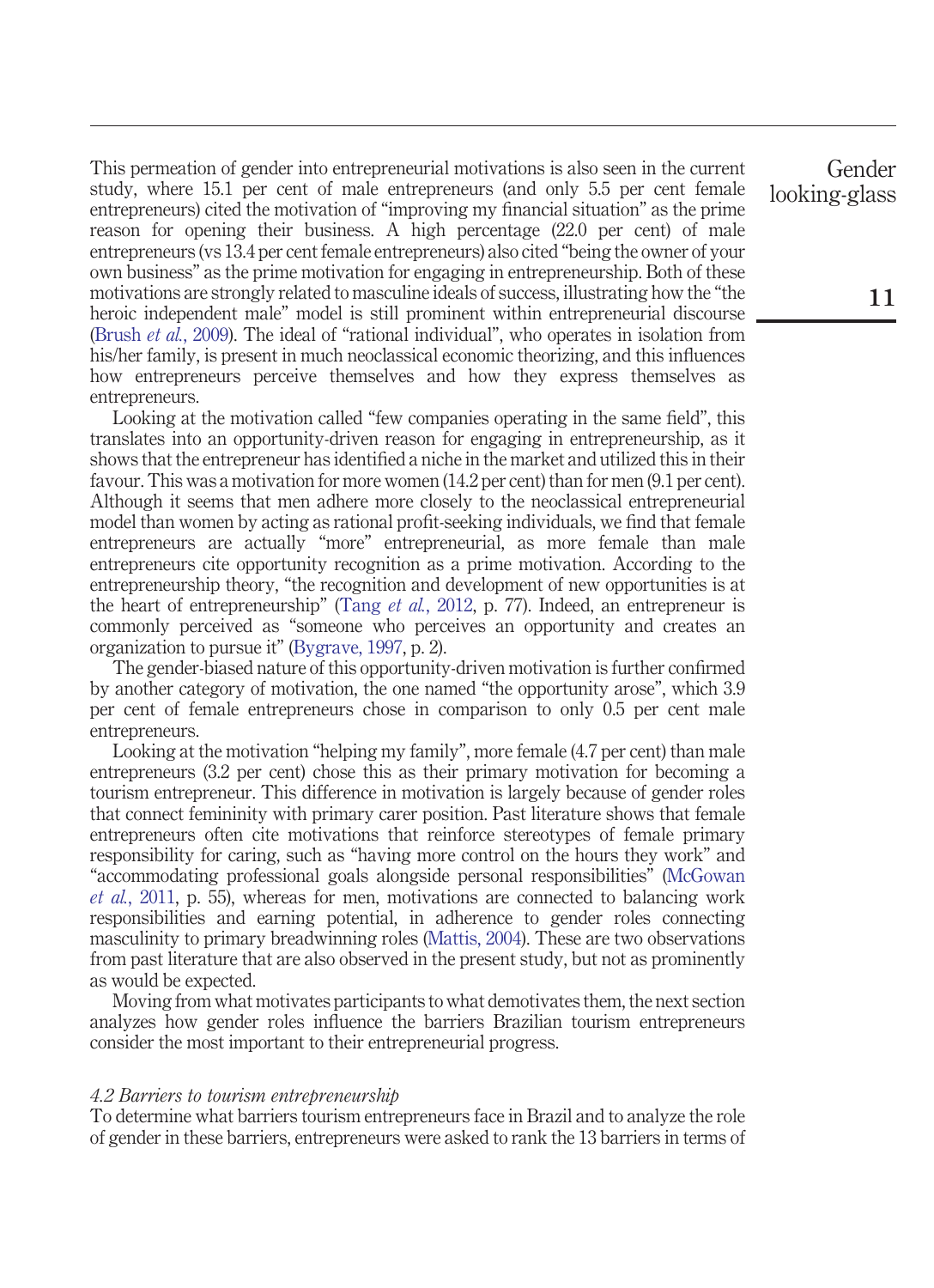This permeation of gender into entrepreneurial motivations is also seen in the current study, where 15.1 per cent of male entrepreneurs (and only 5.5 per cent female entrepreneurs) cited the motivation of "improving my financial situation" as the prime reason for opening their business. A high percentage (22.0 per cent) of male entrepreneurs (vs 13.4 per cent female entrepreneurs) also cited "being the owner of your own business" as the prime motivation for engaging in entrepreneurship. Both of these motivations are strongly related to masculine ideals of success, illustrating how the "the heroic independent male" model is still prominent within entrepreneurial discourse [\(Brush](#page-19-2) *et al.*, 2009). The ideal of "rational individual", who operates in isolation from his/her family, is present in much neoclassical economic theorizing, and this influences how entrepreneurs perceive themselves and how they express themselves as entrepreneurs.

Looking at the motivation called "few companies operating in the same field", this translates into an opportunity-driven reason for engaging in entrepreneurship, as it shows that the entrepreneur has identified a niche in the market and utilized this in their favour. This was a motivation for more women (14.2 per cent) than for men (9.1 per cent). Although it seems that men adhere more closely to the neoclassical entrepreneurial model than women by acting as rational profit-seeking individuals, we find that female entrepreneurs are actually "more" entrepreneurial, as more female than male entrepreneurs cite opportunity recognition as a prime motivation. According to the entrepreneurship theory, "the recognition and development of new opportunities is at the heart of entrepreneurship" (Tang *et al.*[, 2012,](#page-23-10) p. 77). Indeed, an entrepreneur is commonly perceived as "someone who perceives an opportunity and creates an organization to pursue it" [\(Bygrave, 1997,](#page-19-13) p. 2).

The gender-biased nature of this opportunity-driven motivation is further confirmed by another category of motivation, the one named "the opportunity arose", which 3.9 per cent of female entrepreneurs chose in comparison to only 0.5 per cent male entrepreneurs.

Looking at the motivation "helping my family", more female (4.7 per cent) than male entrepreneurs (3.2 per cent) chose this as their primary motivation for becoming a tourism entrepreneur. This difference in motivation is largely because of gender roles that connect femininity with primary carer position. Past literature shows that female entrepreneurs often cite motivations that reinforce stereotypes of female primary responsibility for caring, such as "having more control on the hours they work" and "accommodating professional goals alongside personal responsibilities" [\(McGowan](#page-22-15) *et al.*[, 2011,](#page-22-15) p. 55), whereas for men, motivations are connected to balancing work responsibilities and earning potential, in adherence to gender roles connecting masculinity to primary breadwinning roles [\(Mattis, 2004\)](#page-22-16). These are two observations from past literature that are also observed in the present study, but not as prominently as would be expected.

Moving from what motivates participants to what demotivates them, the next section analyzes how gender roles influence the barriers Brazilian tourism entrepreneurs consider the most important to their entrepreneurial progress.

#### *4.2 Barriers to tourism entrepreneurship*

To determine what barriers tourism entrepreneurs face in Brazil and to analyze the role of gender in these barriers, entrepreneurs were asked to rank the 13 barriers in terms of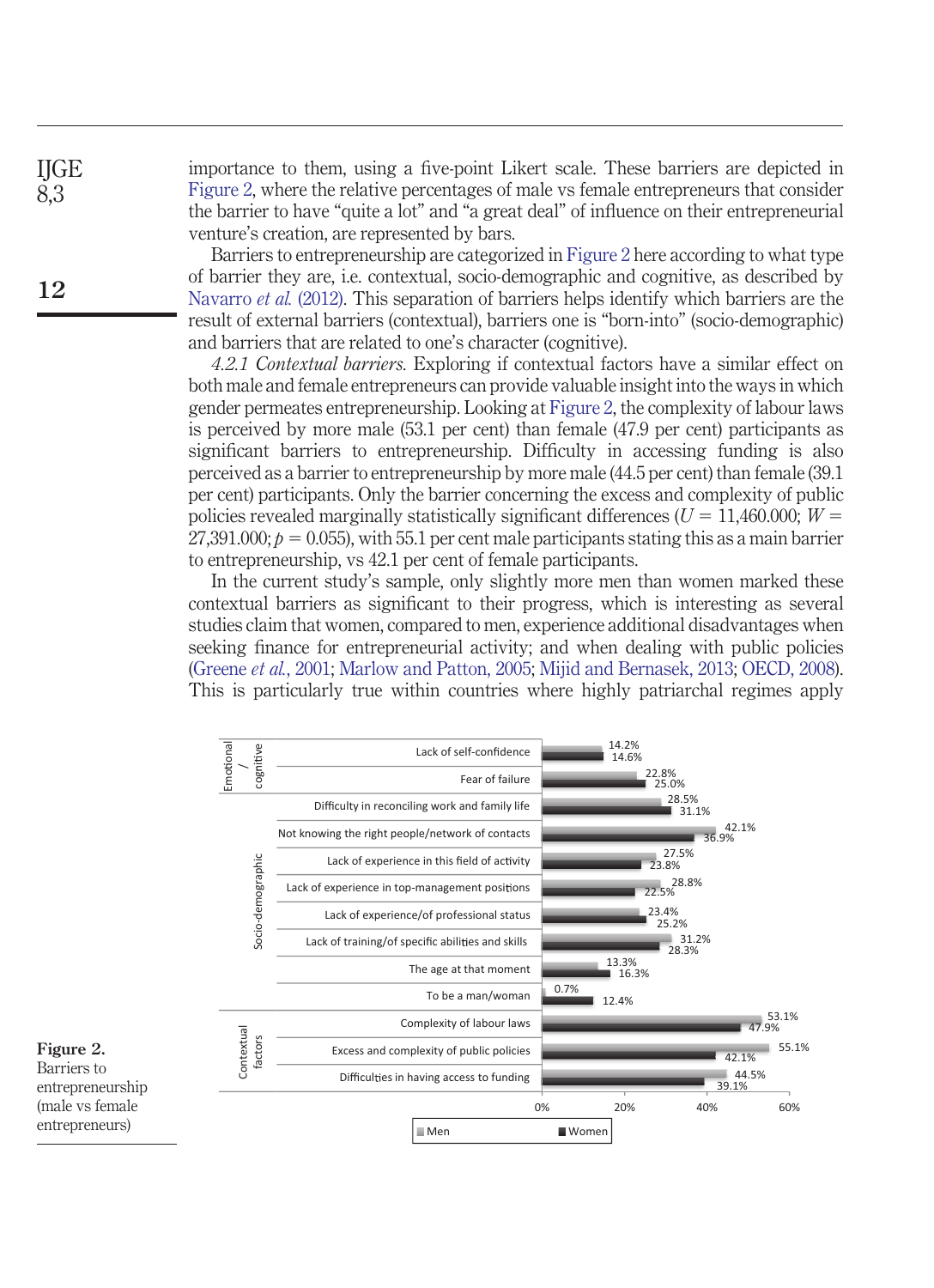importance to them, using a five-point Likert scale. These barriers are depicted in [Figure 2,](#page-11-0) where the relative percentages of male vs female entrepreneurs that consider the barrier to have "quite a lot" and "a great deal" of influence on their entrepreneurial venture's creation, are represented by bars.

Barriers to entrepreneurship are categorized in [Figure 2](#page-11-0) here according to what type of barrier they are, i.e. contextual, socio-demographic and cognitive, as described by [Navarro](#page-22-12) *et al.* (2012). This separation of barriers helps identify which barriers are the result of external barriers (contextual), barriers one is "born-into" (socio-demographic) and barriers that are related to one's character (cognitive).

*4.2.1 Contextual barriers.* Exploring if contextual factors have a similar effect on both male and female entrepreneurs can provide valuable insight into the ways in which gender permeates entrepreneurship. Looking at [Figure 2,](#page-11-0) the complexity of labour laws is perceived by more male (53.1 per cent) than female (47.9 per cent) participants as significant barriers to entrepreneurship. Difficulty in accessing funding is also perceived as a barrier to entrepreneurship by more male (44.5 per cent) than female (39.1 per cent) participants. Only the barrier concerning the excess and complexity of public policies revealed marginally statistically significant differences ( $U = 11,460.000; W =$  $27,\!391.000; p=0.055$ ), with  $55.1$  per cent male participants stating this as a main barrier to entrepreneurship, vs 42.1 per cent of female participants.

In the current study's sample, only slightly more men than women marked these contextual barriers as significant to their progress, which is interesting as several studies claim that women, compared to men, experience additional disadvantages when seeking finance for entrepreneurial activity; and when dealing with public policies [\(Greene](#page-20-9) *et al.*, 2001; [Marlow and Patton, 2005;](#page-22-6) [Mijid and Bernasek, 2013;](#page-22-7) [OECD, 2008\)](#page-22-8). This is particularly true within countries where highly patriarchal regimes apply

<span id="page-11-0"></span>

**12**

IJGE 8,3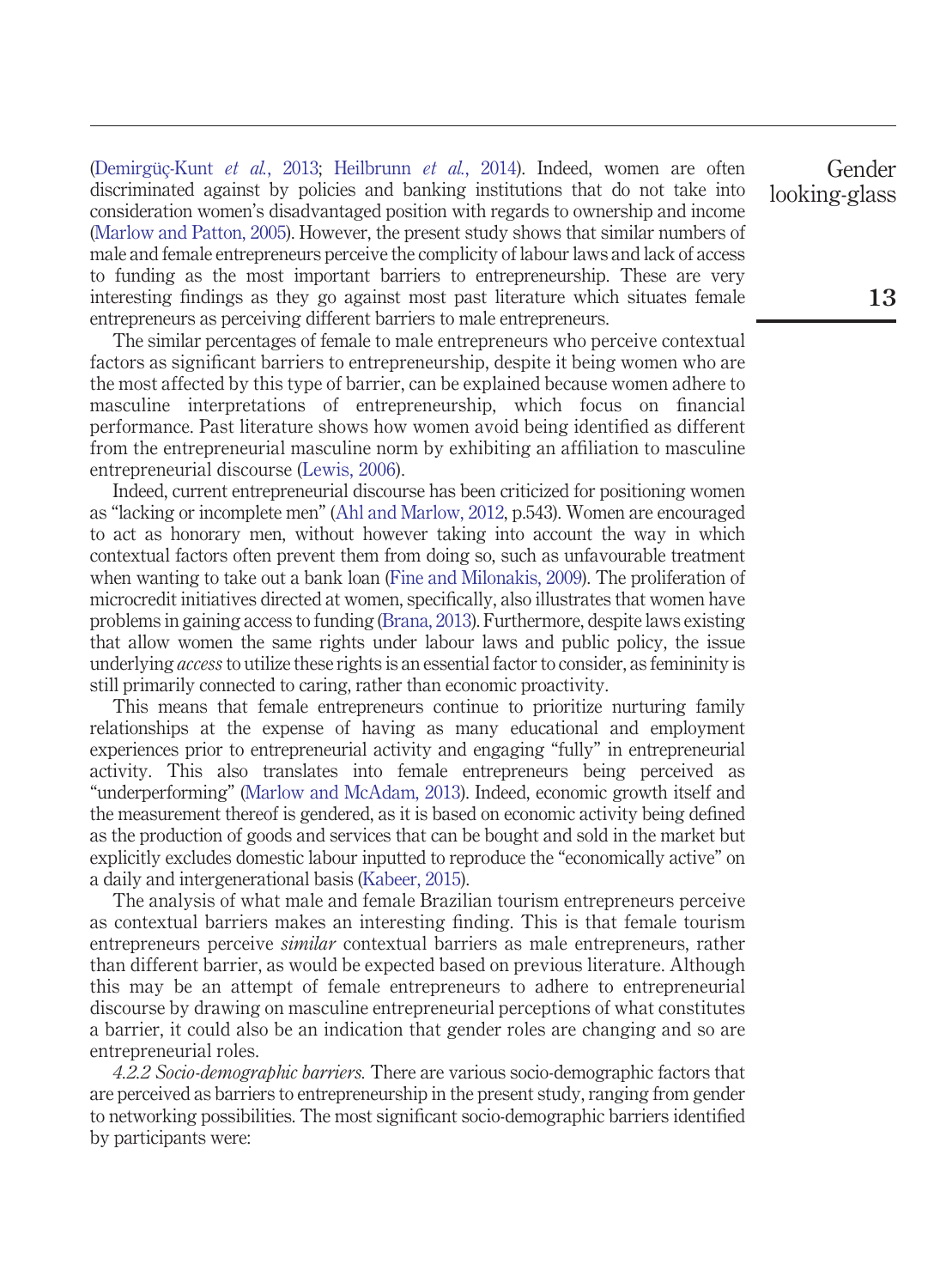[\(Demirgüç-Kunt](#page-19-14) *et al.*, 2013; [Heilbrunn](#page-21-10) *et al.*, 2014). Indeed, women are often discriminated against by policies and banking institutions that do not take into consideration women's disadvantaged position with regards to ownership and income [\(Marlow and Patton, 2005\)](#page-22-6). However, the present study shows that similar numbers of male and female entrepreneurs perceive the complicity of labour laws and lack of access to funding as the most important barriers to entrepreneurship. These are very interesting findings as they go against most past literature which situates female entrepreneurs as perceiving different barriers to male entrepreneurs.

The similar percentages of female to male entrepreneurs who perceive contextual factors as significant barriers to entrepreneurship, despite it being women who are the most affected by this type of barrier, can be explained because women adhere to masculine interpretations of entrepreneurship, which focus on financial performance. Past literature shows how women avoid being identified as different from the entrepreneurial masculine norm by exhibiting an affiliation to masculine entrepreneurial discourse [\(Lewis, 2006\)](#page-21-11).

Indeed, current entrepreneurial discourse has been criticized for positioning women as "lacking or incomplete men" [\(Ahl and Marlow, 2012,](#page-18-4) p.543). Women are encouraged to act as honorary men, without however taking into account the way in which contextual factors often prevent them from doing so, such as unfavourable treatment when wanting to take out a bank loan [\(Fine and Milonakis, 2009\)](#page-20-8). The proliferation of microcredit initiatives directed at women, specifically, also illustrates that women have problems in gaining access to funding [\(Brana, 2013\)](#page-18-10). Furthermore, despite laws existing that allow women the same rights under labour laws and public policy, the issue underlying *access*to utilize these rights is an essential factor to consider, as femininity is still primarily connected to caring, rather than economic proactivity.

This means that female entrepreneurs continue to prioritize nurturing family relationships at the expense of having as many educational and employment experiences prior to entrepreneurial activity and engaging "fully" in entrepreneurial activity. This also translates into female entrepreneurs being perceived as "underperforming" [\(Marlow and McAdam, 2013\)](#page-22-17). Indeed, economic growth itself and the measurement thereof is gendered, as it is based on economic activity being defined as the production of goods and services that can be bought and sold in the market but explicitly excludes domestic labour inputted to reproduce the "economically active" on a daily and intergenerational basis [\(Kabeer, 2015\)](#page-21-12).

The analysis of what male and female Brazilian tourism entrepreneurs perceive as contextual barriers makes an interesting finding. This is that female tourism entrepreneurs perceive *similar* contextual barriers as male entrepreneurs, rather than different barrier, as would be expected based on previous literature. Although this may be an attempt of female entrepreneurs to adhere to entrepreneurial discourse by drawing on masculine entrepreneurial perceptions of what constitutes a barrier, it could also be an indication that gender roles are changing and so are entrepreneurial roles.

*4.2.2 Socio-demographic barriers.* There are various socio-demographic factors that are perceived as barriers to entrepreneurship in the present study, ranging from gender to networking possibilities. The most significant socio-demographic barriers identified by participants were: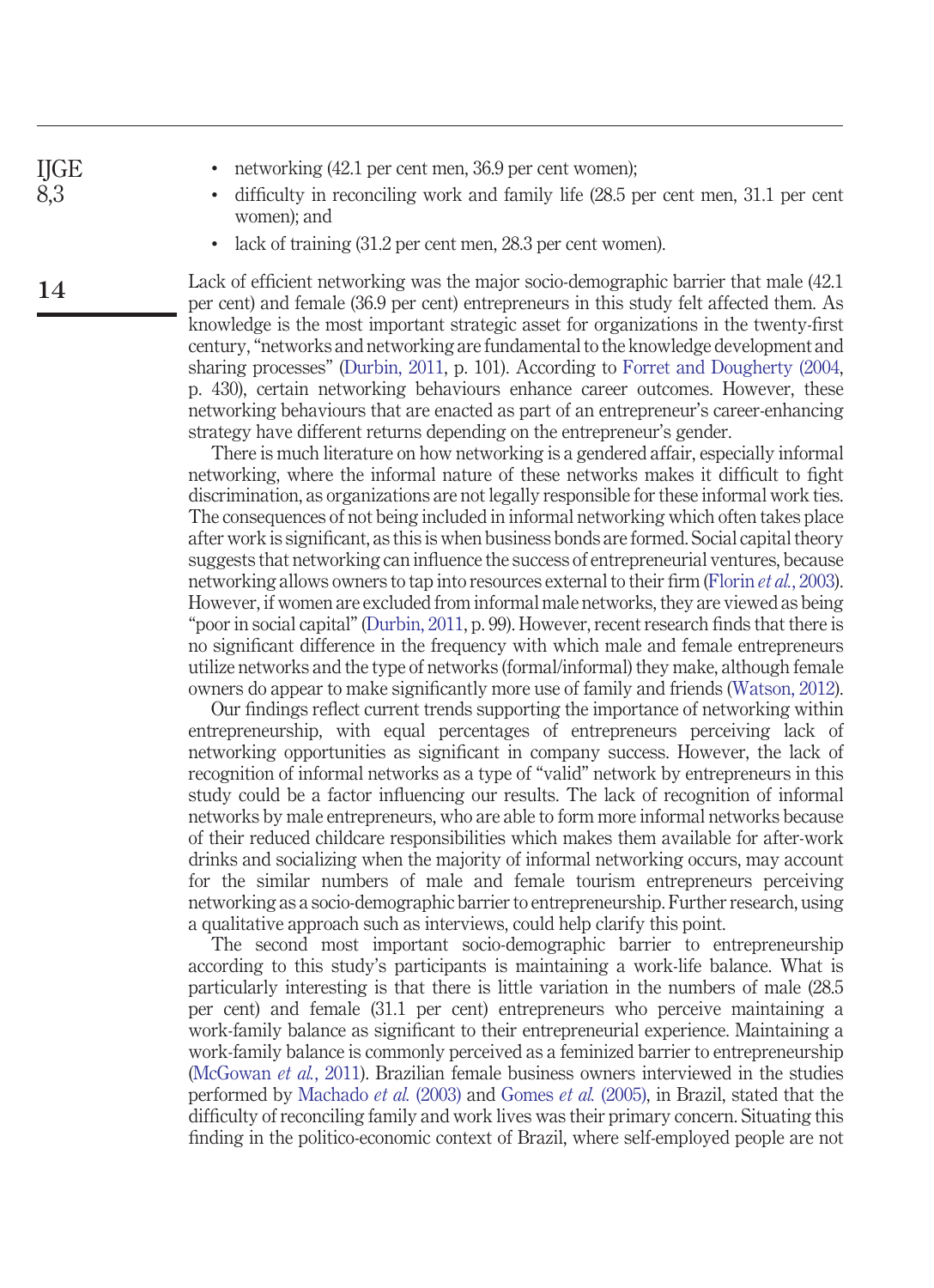**14**

- networking (42.1 per cent men, 36.9 per cent women);
- difficulty in reconciling work and family life (28.5 per cent men, 31.1 per cent women); and
- lack of training (31.2 per cent men, 28.3 per cent women).

Lack of efficient networking was the major socio-demographic barrier that male (42.1 per cent) and female (36.9 per cent) entrepreneurs in this study felt affected them. As knowledge is the most important strategic asset for organizations in the twenty-first century, "networks and networking are fundamental to the knowledge development and sharing processes" [\(Durbin, 2011,](#page-20-14) p. 101). According to [Forret and Dougherty \(2004,](#page-20-15) p. 430), certain networking behaviours enhance career outcomes. However, these networking behaviours that are enacted as part of an entrepreneur's career-enhancing strategy have different returns depending on the entrepreneur's gender.

There is much literature on how networking is a gendered affair, especially informal networking, where the informal nature of these networks makes it difficult to fight discrimination, as organizations are not legally responsible for these informal work ties. The consequences of not being included in informal networking which often takes place after work is significant, as this is when business bonds are formed. Social capital theory suggests that networking can influence the success of entrepreneurial ventures, because networking allows owners to tap into resources external to their firm [\(Florin](#page-20-16) *et al.*, 2003). However, if women are excluded from informal male networks, they are viewed as being "poor in social capital" [\(Durbin, 2011,](#page-20-14) p. 99). However, recent research finds that there is no significant difference in the frequency with which male and female entrepreneurs utilize networks and the type of networks (formal/informal) they make, although female owners do appear to make significantly more use of family and friends [\(Watson, 2012\)](#page-23-11).

Our findings reflect current trends supporting the importance of networking within entrepreneurship, with equal percentages of entrepreneurs perceiving lack of networking opportunities as significant in company success. However, the lack of recognition of informal networks as a type of "valid" network by entrepreneurs in this study could be a factor influencing our results. The lack of recognition of informal networks by male entrepreneurs, who are able to form more informal networks because of their reduced childcare responsibilities which makes them available for after-work drinks and socializing when the majority of informal networking occurs, may account for the similar numbers of male and female tourism entrepreneurs perceiving networking as a socio-demographic barrier to entrepreneurship. Further research, using a qualitative approach such as interviews, could help clarify this point.

The second most important socio-demographic barrier to entrepreneurship according to this study's participants is maintaining a work-life balance. What is particularly interesting is that there is little variation in the numbers of male (28.5 per cent) and female (31.1 per cent) entrepreneurs who perceive maintaining a work-family balance as significant to their entrepreneurial experience. Maintaining a work-family balance is commonly perceived as a feminized barrier to entrepreneurship [\(McGowan](#page-22-15) *et al.*, 2011). Brazilian female business owners interviewed in the studies performed by [Machado](#page-22-11) *et al.* (2003) and [Gomes](#page-20-10) *et al.* (2005), in Brazil, stated that the difficulty of reconciling family and work lives was their primary concern. Situating this finding in the politico-economic context of Brazil, where self-employed people are not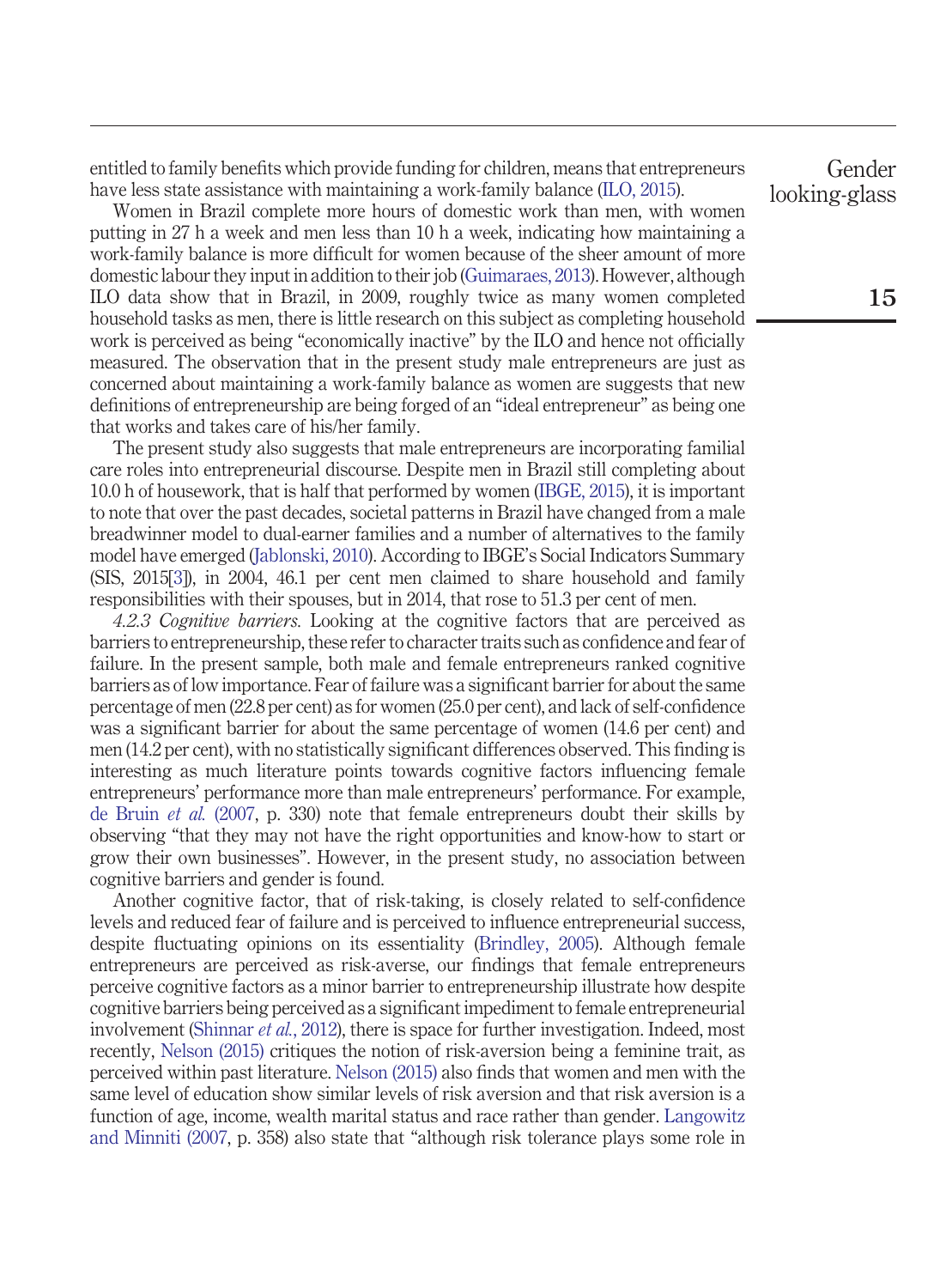entitled to family benefits which provide funding for children, means that entrepreneurs have less state assistance with maintaining a work-family balance [\(ILO, 2015\)](#page-21-13).

Women in Brazil complete more hours of domestic work than men, with women putting in 27 h a week and men less than 10 h a week, indicating how maintaining a work-family balance is more difficult for women because of the sheer amount of more domestic labour they input in addition to their job [\(Guimaraes, 2013\)](#page-21-14). However, although ILO data show that in Brazil, in 2009, roughly twice as many women completed household tasks as men, there is little research on this subject as completing household work is perceived as being "economically inactive" by the ILO and hence not officially measured. The observation that in the present study male entrepreneurs are just as concerned about maintaining a work-family balance as women are suggests that new definitions of entrepreneurship are being forged of an "ideal entrepreneur" as being one that works and takes care of his/her family.

The present study also suggests that male entrepreneurs are incorporating familial care roles into entrepreneurial discourse. Despite men in Brazil still completing about 10.0 h of housework, that is half that performed by women [\(IBGE, 2015\)](#page-21-15), it is important to note that over the past decades, societal patterns in Brazil have changed from a male breadwinner model to dual-earner families and a number of alternatives to the family model have emerged [\(Jablonski, 2010\)](#page-21-16). According to IBGE's Social Indicators Summary (SIS, 2015[\[3\]](#page-18-11)), in 2004, 46.1 per cent men claimed to share household and family responsibilities with their spouses, but in 2014, that rose to 51.3 per cent of men.

*4.2.3 Cognitive barriers.* Looking at the cognitive factors that are perceived as barriers to entrepreneurship, these refer to character traits such as confidence and fear of failure. In the present sample, both male and female entrepreneurs ranked cognitive barriers as of low importance. Fear of failure was a significant barrier for about the same percentage of men (22.8 per cent) as for women (25.0 per cent), and lack of self-confidence was a significant barrier for about the same percentage of women (14.6 per cent) and men (14.2 per cent), with no statistically significant differences observed. This finding is interesting as much literature points towards cognitive factors influencing female entrepreneurs' performance more than male entrepreneurs' performance. For example, [de Bruin](#page-19-7) *et al.* (2007, p. 330) note that female entrepreneurs doubt their skills by observing "that they may not have the right opportunities and know-how to start or grow their own businesses". However, in the present study, no association between cognitive barriers and gender is found.

Another cognitive factor, that of risk-taking, is closely related to self-confidence levels and reduced fear of failure and is perceived to influence entrepreneurial success, despite fluctuating opinions on its essentiality [\(Brindley, 2005\)](#page-18-12). Although female entrepreneurs are perceived as risk-averse, our findings that female entrepreneurs perceive cognitive factors as a minor barrier to entrepreneurship illustrate how despite cognitive barriers being perceived as a significant impediment to female entrepreneurial involvement [\(Shinnar](#page-23-12) *et al.*, 2012), there is space for further investigation. Indeed, most recently, [Nelson \(2015\)](#page-22-18) critiques the notion of risk-aversion being a feminine trait, as perceived within past literature. [Nelson \(2015\)](#page-22-18) also finds that women and men with the same level of education show similar levels of risk aversion and that risk aversion is a function of age, income, wealth marital status and race rather than gender. [Langowitz](#page-21-7) [and Minniti \(2007,](#page-21-7) p. 358) also state that "although risk tolerance plays some role in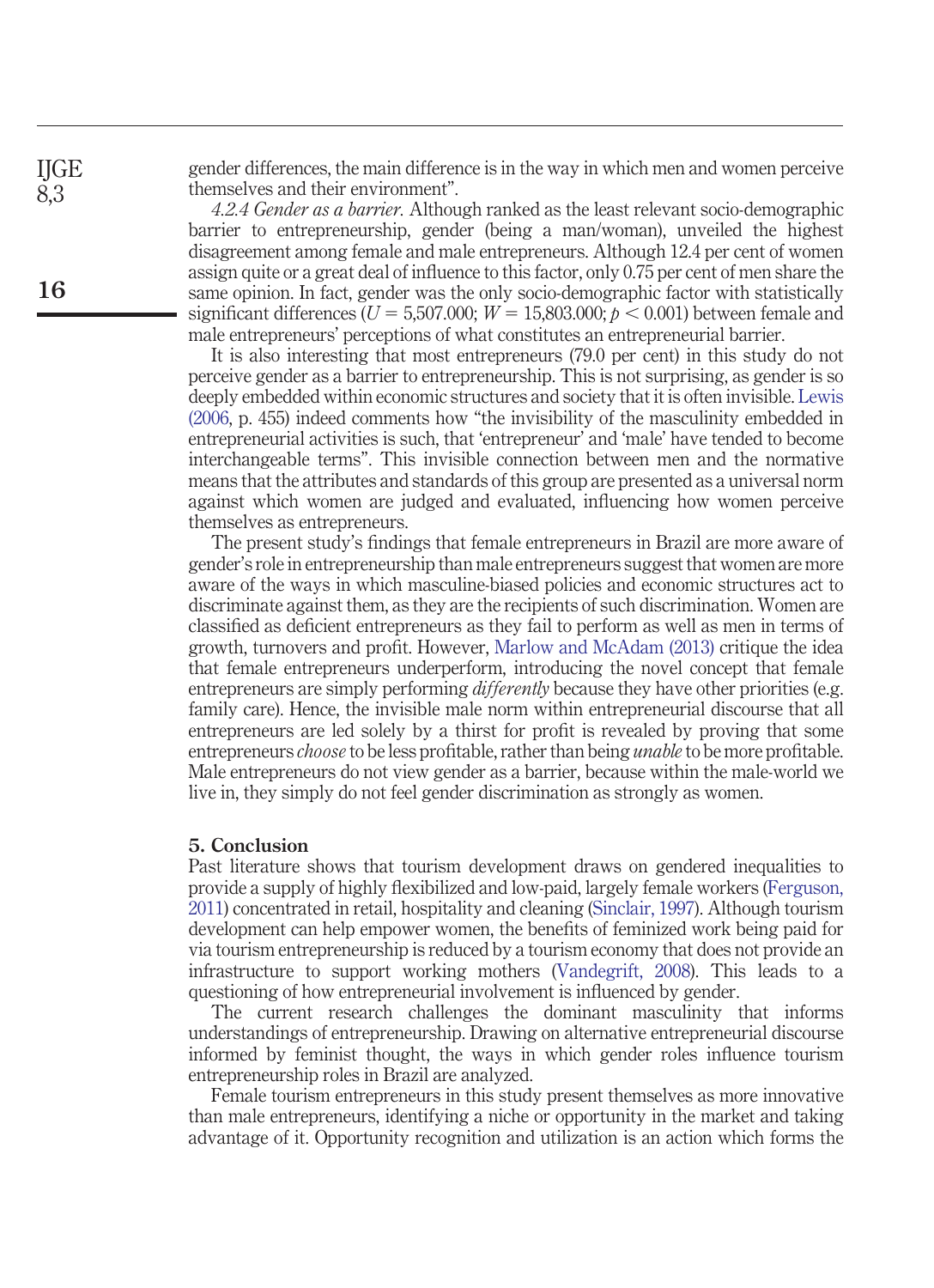gender differences, the main difference is in the way in which men and women perceive themselves and their environment".

*4.2.4 Gender as a barrier.* Although ranked as the least relevant socio-demographic barrier to entrepreneurship, gender (being a man/woman), unveiled the highest disagreement among female and male entrepreneurs. Although 12.4 per cent of women assign quite or a great deal of influence to this factor, only 0.75 per cent of men share the same opinion. In fact, gender was the only socio-demographic factor with statistically  ${\rm sign}$ ificant differences ( $U$  = 5,507.000;  $W$  = 15,803.000;  $p <$  0.001) between female and male entrepreneurs' perceptions of what constitutes an entrepreneurial barrier.

It is also interesting that most entrepreneurs (79.0 per cent) in this study do not perceive gender as a barrier to entrepreneurship. This is not surprising, as gender is so deeply embedded within economic structures and society that it is often invisible. [Lewis](#page-21-11) [\(2006,](#page-21-11) p. 455) indeed comments how "the invisibility of the masculinity embedded in entrepreneurial activities is such, that 'entrepreneur' and 'male' have tended to become interchangeable terms". This invisible connection between men and the normative means that the attributes and standards of this group are presented as a universal norm against which women are judged and evaluated, influencing how women perceive themselves as entrepreneurs.

The present study's findings that female entrepreneurs in Brazil are more aware of gender's role in entrepreneurship than male entrepreneurs suggest that women are more aware of the ways in which masculine-biased policies and economic structures act to discriminate against them, as they are the recipients of such discrimination. Women are classified as deficient entrepreneurs as they fail to perform as well as men in terms of growth, turnovers and profit. However, [Marlow and McAdam \(2013\)](#page-22-17) critique the idea that female entrepreneurs underperform, introducing the novel concept that female entrepreneurs are simply performing *differently* because they have other priorities (e.g. family care). Hence, the invisible male norm within entrepreneurial discourse that all entrepreneurs are led solely by a thirst for profit is revealed by proving that some entrepreneurs *choose* to be less profitable, rather than being *unable* to be more profitable. Male entrepreneurs do not view gender as a barrier, because within the male-world we live in, they simply do not feel gender discrimination as strongly as women.

#### **5. Conclusion**

Past literature shows that tourism development draws on gendered inequalities to provide a supply of highly flexibilized and low-paid, largely female workers [\(Ferguson,](#page-20-2) [2011\)](#page-20-2) concentrated in retail, hospitality and cleaning [\(Sinclair, 1997\)](#page-23-13). Although tourism development can help empower women, the benefits of feminized work being paid for via tourism entrepreneurship is reduced by a tourism economy that does not provide an infrastructure to support working mothers [\(Vandegrift, 2008\)](#page-23-14). This leads to a questioning of how entrepreneurial involvement is influenced by gender.

The current research challenges the dominant masculinity that informs understandings of entrepreneurship. Drawing on alternative entrepreneurial discourse informed by feminist thought, the ways in which gender roles influence tourism entrepreneurship roles in Brazil are analyzed.

Female tourism entrepreneurs in this study present themselves as more innovative than male entrepreneurs, identifying a niche or opportunity in the market and taking advantage of it. Opportunity recognition and utilization is an action which forms the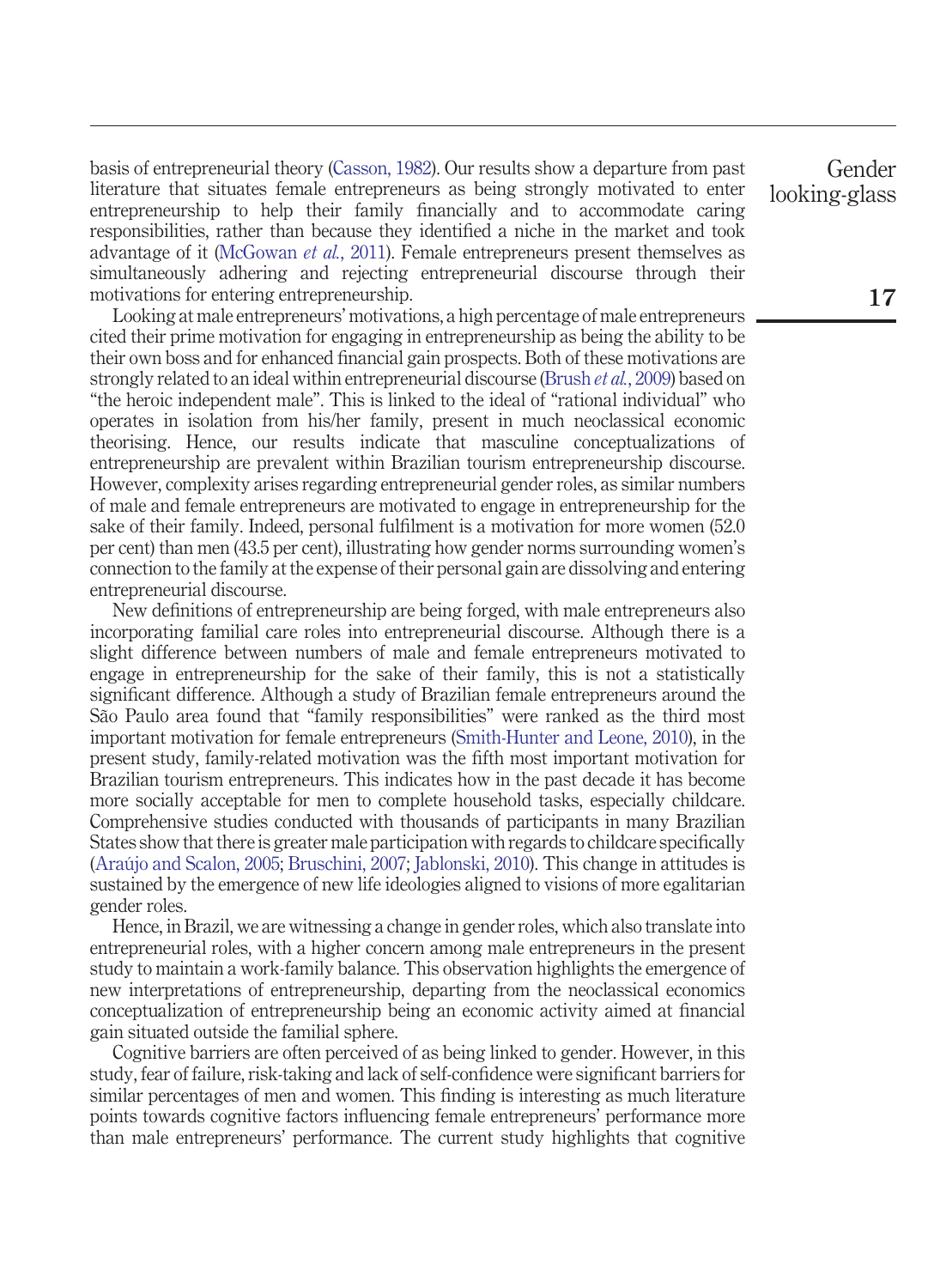basis of entrepreneurial theory [\(Casson, 1982\)](#page-19-15). Our results show a departure from past literature that situates female entrepreneurs as being strongly motivated to enter entrepreneurship to help their family financially and to accommodate caring responsibilities, rather than because they identified a niche in the market and took advantage of it [\(McGowan](#page-22-15) *et al.*, 2011). Female entrepreneurs present themselves as simultaneously adhering and rejecting entrepreneurial discourse through their motivations for entering entrepreneurship.

Looking at male entrepreneurs' motivations, a high percentage of male entrepreneurs cited their prime motivation for engaging in entrepreneurship as being the ability to be their own boss and for enhanced financial gain prospects. Both of these motivations are strongly related to an ideal within entrepreneurial discourse [\(Brush](#page-19-2) *et al.*, 2009) based on "the heroic independent male". This is linked to the ideal of "rational individual" who operates in isolation from his/her family, present in much neoclassical economic theorising. Hence, our results indicate that masculine conceptualizations of entrepreneurship are prevalent within Brazilian tourism entrepreneurship discourse. However, complexity arises regarding entrepreneurial gender roles, as similar numbers of male and female entrepreneurs are motivated to engage in entrepreneurship for the sake of their family. Indeed, personal fulfilment is a motivation for more women (52.0 per cent) than men (43.5 per cent), illustrating how gender norms surrounding women's connection to the family at the expense of their personal gain are dissolving and entering entrepreneurial discourse.

New definitions of entrepreneurship are being forged, with male entrepreneurs also incorporating familial care roles into entrepreneurial discourse. Although there is a slight difference between numbers of male and female entrepreneurs motivated to engage in entrepreneurship for the sake of their family, this is not a statistically significant difference. Although a study of Brazilian female entrepreneurs around the São Paulo area found that "family responsibilities" were ranked as the third most important motivation for female entrepreneurs [\(Smith-Hunter and Leone, 2010\)](#page-23-3), in the present study, family-related motivation was the fifth most important motivation for Brazilian tourism entrepreneurs. This indicates how in the past decade it has become more socially acceptable for men to complete household tasks, especially childcare. Comprehensive studies conducted with thousands of participants in many Brazilian States show that there is greater male participation with regards to childcare specifically [\(Araújo and Scalon, 2005;](#page-18-13) [Bruschini, 2007;](#page-19-16) [Jablonski, 2010\)](#page-21-16). This change in attitudes is sustained by the emergence of new life ideologies aligned to visions of more egalitarian gender roles.

Hence, in Brazil, we are witnessing a change in gender roles, which also translate into entrepreneurial roles, with a higher concern among male entrepreneurs in the present study to maintain a work-family balance. This observation highlights the emergence of new interpretations of entrepreneurship, departing from the neoclassical economics conceptualization of entrepreneurship being an economic activity aimed at financial gain situated outside the familial sphere.

Cognitive barriers are often perceived of as being linked to gender. However, in this study, fear of failure, risk-taking and lack of self-confidence were significant barriers for similar percentages of men and women. This finding is interesting as much literature points towards cognitive factors influencing female entrepreneurs' performance more than male entrepreneurs' performance. The current study highlights that cognitive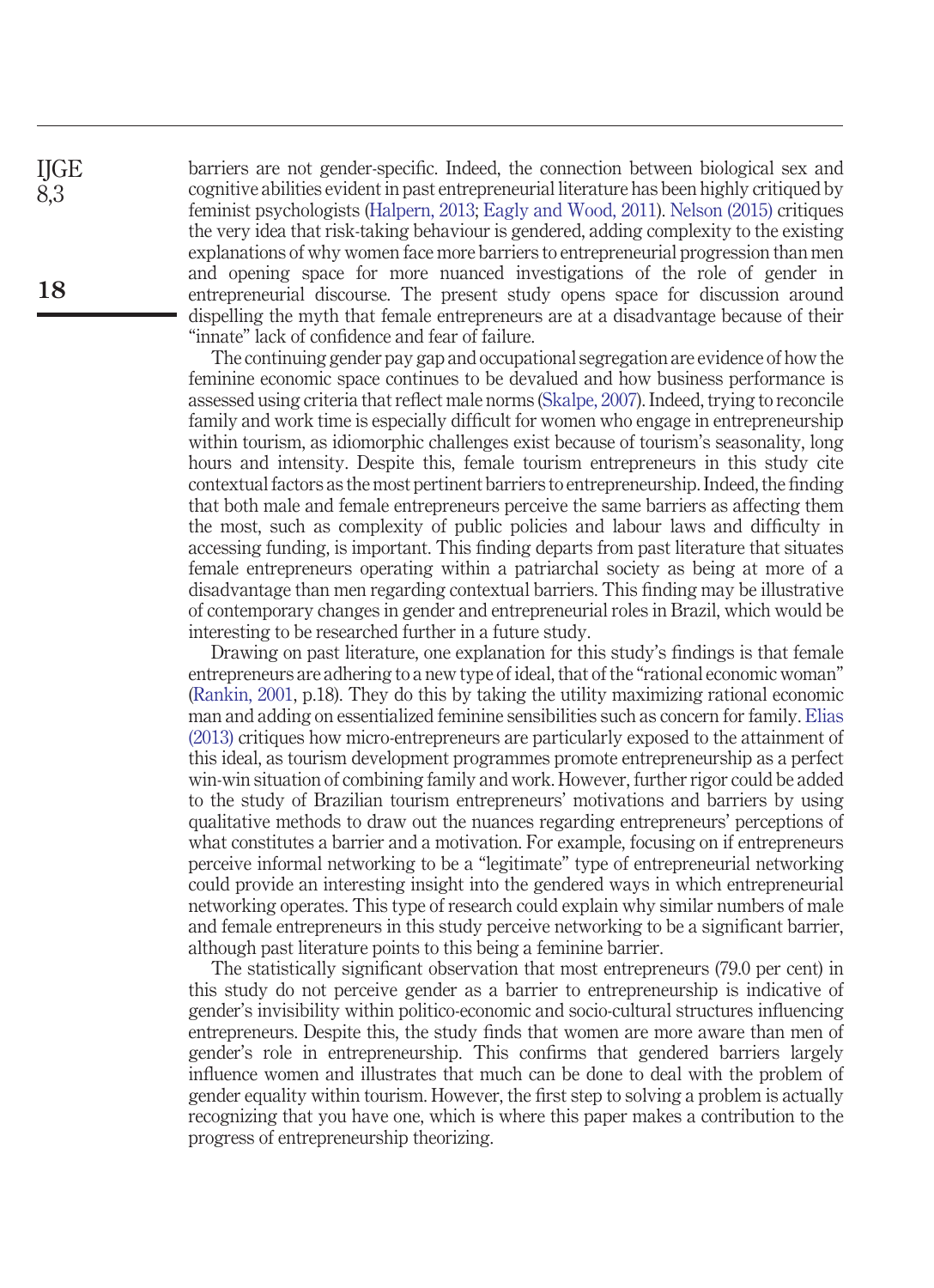barriers are not gender-specific. Indeed, the connection between biological sex and cognitive abilities evident in past entrepreneurial literature has been highly critiqued by feminist psychologists [\(Halpern, 2013;](#page-21-17) [Eagly and Wood, 2011\)](#page-20-17). [Nelson \(2015\)](#page-22-18) critiques the very idea that risk-taking behaviour is gendered, adding complexity to the existing explanations of why women face more barriers to entrepreneurial progression than men and opening space for more nuanced investigations of the role of gender in entrepreneurial discourse. The present study opens space for discussion around dispelling the myth that female entrepreneurs are at a disadvantage because of their "innate" lack of confidence and fear of failure.

The continuing gender pay gap and occupational segregation are evidence of how the feminine economic space continues to be devalued and how business performance is assessed using criteria that reflect male norms [\(Skalpe, 2007\)](#page-23-15). Indeed, trying to reconcile family and work time is especially difficult for women who engage in entrepreneurship within tourism, as idiomorphic challenges exist because of tourism's seasonality, long hours and intensity. Despite this, female tourism entrepreneurs in this study cite contextual factors as the most pertinent barriers to entrepreneurship. Indeed, the finding that both male and female entrepreneurs perceive the same barriers as affecting them the most, such as complexity of public policies and labour laws and difficulty in accessing funding, is important. This finding departs from past literature that situates female entrepreneurs operating within a patriarchal society as being at more of a disadvantage than men regarding contextual barriers. This finding may be illustrative of contemporary changes in gender and entrepreneurial roles in Brazil, which would be interesting to be researched further in a future study.

Drawing on past literature, one explanation for this study's findings is that female entrepreneurs are adhering to a new type of ideal, that of the "rational economic woman" [\(Rankin, 2001,](#page-23-16) p.18). They do this by taking the utility maximizing rational economic man and adding on essentialized feminine sensibilities such as concern for family. [Elias](#page-20-18) [\(2013\)](#page-20-18) critiques how micro-entrepreneurs are particularly exposed to the attainment of this ideal, as tourism development programmes promote entrepreneurship as a perfect win-win situation of combining family and work. However, further rigor could be added to the study of Brazilian tourism entrepreneurs' motivations and barriers by using qualitative methods to draw out the nuances regarding entrepreneurs' perceptions of what constitutes a barrier and a motivation. For example, focusing on if entrepreneurs perceive informal networking to be a "legitimate" type of entrepreneurial networking could provide an interesting insight into the gendered ways in which entrepreneurial networking operates. This type of research could explain why similar numbers of male and female entrepreneurs in this study perceive networking to be a significant barrier, although past literature points to this being a feminine barrier.

The statistically significant observation that most entrepreneurs (79.0 per cent) in this study do not perceive gender as a barrier to entrepreneurship is indicative of gender's invisibility within politico-economic and socio-cultural structures influencing entrepreneurs. Despite this, the study finds that women are more aware than men of gender's role in entrepreneurship. This confirms that gendered barriers largely influence women and illustrates that much can be done to deal with the problem of gender equality within tourism. However, the first step to solving a problem is actually recognizing that you have one, which is where this paper makes a contribution to the progress of entrepreneurship theorizing.

**18**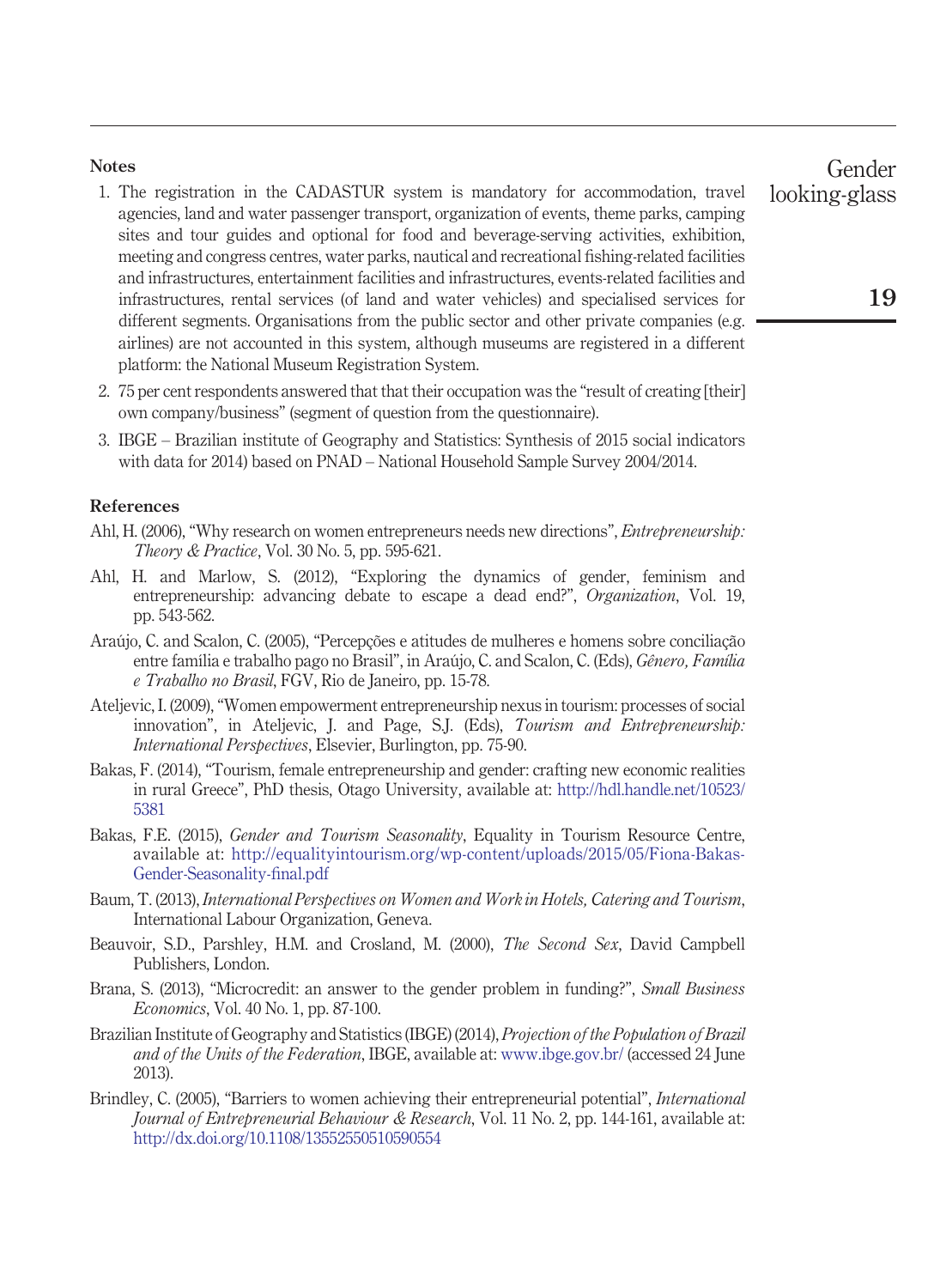## <span id="page-18-8"></span>**Notes**

- 1. The registration in the CADASTUR system is mandatory for accommodation, travel agencies, land and water passenger transport, organization of events, theme parks, camping sites and tour guides and optional for food and beverage-serving activities, exhibition, meeting and congress centres, water parks, nautical and recreational fishing-related facilities and infrastructures, entertainment facilities and infrastructures, events-related facilities and infrastructures, rental services (of land and water vehicles) and specialised services for different segments. Organisations from the public sector and other private companies (e.g. airlines) are not accounted in this system, although museums are registered in a different platform: the National Museum Registration System.
- <span id="page-18-9"></span>2. 75 per cent respondents answered that that their occupation was the "result of creating [their] own company/business" (segment of question from the questionnaire).
- <span id="page-18-11"></span>3. IBGE – Brazilian institute of Geography and Statistics: Synthesis of 2015 social indicators with data for 2014) based on PNAD – National Household Sample Survey 2004/2014.

# **References**

- <span id="page-18-7"></span>Ahl, H. (2006), "Why research on women entrepreneurs needs new directions", *Entrepreneurship: Theory & Practice*, Vol. 30 No. 5, pp. 595-621.
- <span id="page-18-4"></span>Ahl, H. and Marlow, S. (2012), "Exploring the dynamics of gender, feminism and entrepreneurship: advancing debate to escape a dead end?", *Organization*, Vol. 19, pp. 543-562.
- <span id="page-18-13"></span>Araújo, C. and Scalon, C. (2005), "Percepções e atitudes de mulheres e homens sobre conciliação entre família e trabalho pago no Brasil", in Araújo, C. and Scalon, C. (Eds), *Gênero, Família e Trabalho no Brasil*, FGV, Rio de Janeiro, pp. 15-78.
- <span id="page-18-2"></span>Ateljevic, I. (2009), "Women empowerment entrepreneurship nexus in tourism: processes of social innovation", in Ateljevic, J. and Page, S.J. (Eds), *Tourism and Entrepreneurship: International Perspectives*, Elsevier, Burlington, pp. 75-90.
- <span id="page-18-3"></span>Bakas, F. (2014), "Tourism, female entrepreneurship and gender: crafting new economic realities in rural Greece", PhD thesis, Otago University, available at: [http://hdl.handle.net/10523/](http://hdl.handle.net/10523/5381) [5381](http://hdl.handle.net/10523/5381)
- <span id="page-18-1"></span>Bakas, F.E. (2015), *Gender and Tourism Seasonality*, Equality in Tourism Resource Centre, available at: [http://equalityintourism.org/wp-content/uploads/2015/05/Fiona-Bakas-](http://equalityintourism.org/wp-content/uploads/2015/05/Fiona-Bakas-Gender-Seasonality-final.pdf)[Gender-Seasonality-final.pdf](http://equalityintourism.org/wp-content/uploads/2015/05/Fiona-Bakas-Gender-Seasonality-final.pdf)
- <span id="page-18-0"></span>Baum, T. (2013), *International Perspectives on Women and Work in Hotels, Catering and Tourism*, International Labour Organization, Geneva.
- <span id="page-18-5"></span>Beauvoir, S.D., Parshley, H.M. and Crosland, M. (2000), *The Second Sex*, David Campbell Publishers, London.
- <span id="page-18-10"></span>Brana, S. (2013), "Microcredit: an answer to the gender problem in funding?", *Small Business Economics*, Vol. 40 No. 1, pp. 87-100.
- <span id="page-18-6"></span>Brazilian Institute of Geography and Statistics (IBGE) (2014), *Projection of the Population of Brazil and of the Units of the Federation*, IBGE, available at: [www.ibge.gov.br/](http://www.ibge.gov.br/) (accessed 24 June 2013).
- <span id="page-18-12"></span>Brindley, C. (2005), "Barriers to women achieving their entrepreneurial potential", *International Journal of Entrepreneurial Behaviour & Research*, Vol. 11 No. 2, pp. 144-161, available at: <http://dx.doi.org/10.1108/13552550510590554>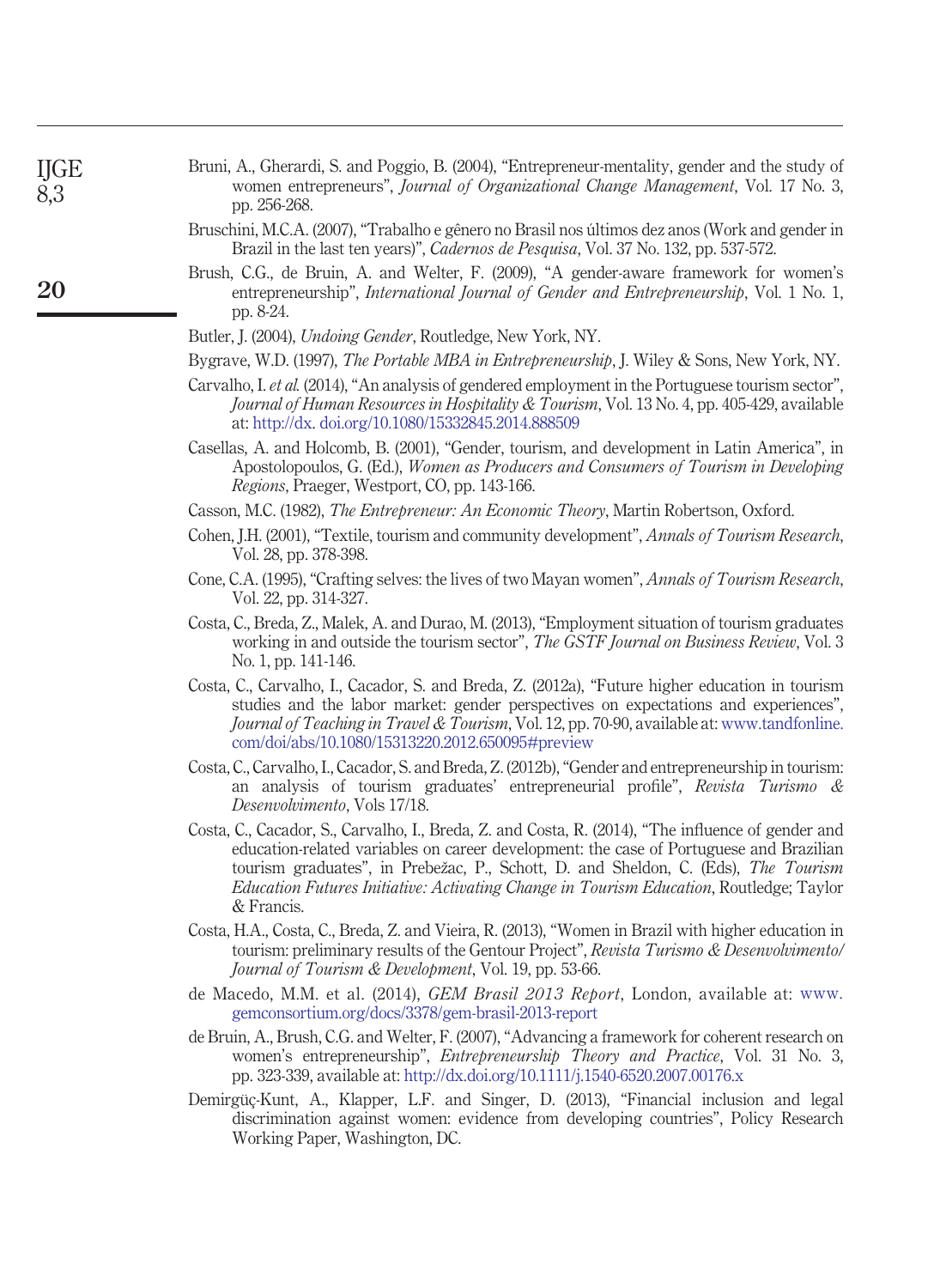<span id="page-19-4"></span>

| Bruni, A., Gherardi, S. and Poggio, B. (2004), "Entrepreneur-mentality, gender and the study of |  |
|-------------------------------------------------------------------------------------------------|--|
| women entrepreneurs", <i>Journal of Organizational Change Management</i> , Vol. 17 No. 3,       |  |
| pp. 256-268.                                                                                    |  |

- <span id="page-19-16"></span>Bruschini, M.C.A. (2007), "Trabalho e gênero no Brasil nos últimos dez anos (Work and gender in Brazil in the last ten years)", *Cadernos de Pesquisa*, Vol. 37 No. 132, pp. 537-572.
- <span id="page-19-2"></span>Brush, C.G., de Bruin, A. and Welter, F. (2009), "A gender-aware framework for women's entrepreneurship", *International Journal of Gender and Entrepreneurship*, Vol. 1 No. 1, pp. 8-24.
- <span id="page-19-8"></span>Butler, J. (2004), *Undoing Gender*, Routledge, New York, NY.
- <span id="page-19-13"></span>Bygrave, W.D. (1997), *The Portable MBA in Entrepreneurship*, J. Wiley & Sons, New York, NY.
- <span id="page-19-9"></span>Carvalho, I. *et al.* (2014), "An analysis of gendered employment in the Portuguese tourism sector", *Journal of Human Resources in Hospitality & Tourism*, Vol. 13 No. 4, pp. 405-429, available at: [http://dx.](http://dx) [doi.org/10.1080/15332845.2014.888509](http://dx.doi.org/doi.org/10.1080/15332845.2014.888509)
- <span id="page-19-5"></span>Casellas, A. and Holcomb, B. (2001), "Gender, tourism, and development in Latin America", in Apostolopoulos, G. (Ed.), *Women as Producers and Consumers of Tourism in Developing Regions*, Praeger, Westport, CO, pp. 143-166.
- <span id="page-19-15"></span>Casson, M.C. (1982), *The Entrepreneur: An Economic Theory*, Martin Robertson, Oxford.
- <span id="page-19-0"></span>Cohen, J.H. (2001), "Textile, tourism and community development", *Annals of Tourism Research*, Vol. 28, pp. 378-398.
- <span id="page-19-1"></span>Cone, C.A. (1995), "Crafting selves: the lives of two Mayan women", *Annals of Tourism Research*, Vol. 22, pp. 314-327.
- <span id="page-19-12"></span>Costa, C., Breda, Z., Malek, A. and Durao, M. (2013), "Employment situation of tourism graduates working in and outside the tourism sector", *The GSTF Journal on Business Review*, Vol. 3 No. 1, pp. 141-146.
- <span id="page-19-3"></span>Costa, C., Carvalho, I., Cacador, S. and Breda, Z. (2012a), "Future higher education in tourism studies and the labor market: gender perspectives on expectations and experiences", *Journal of Teaching in Travel & Tourism*, Vol. 12, pp. 70-90, available at: [www.tandfonline.](http://www.tandfonline.com/doi/abs/10.1080/15313220.2012.650095#preview) [com/doi/abs/10.1080/15313220.2012.650095#preview](http://www.tandfonline.com/doi/abs/10.1080/15313220.2012.650095#preview)
- <span id="page-19-10"></span>Costa, C., Carvalho, I., Cacador, S. and Breda, Z. (2012b), "Gender and entrepreneurship in tourism: an analysis of tourism graduates' entrepreneurial profile", *Revista Turismo & Desenvolvimento*, Vols 17/18.
- <span id="page-19-11"></span>Costa, C., Cacador, S., Carvalho, I., Breda, Z. and Costa, R. (2014), "The influence of gender and education-related variables on career development: the case of Portuguese and Brazilian tourism graduates", in Prebežac, P., Schott, D. and Sheldon, C. (Eds), *The Tourism Education Futures Initiative: Activating Change in Tourism Education*, Routledge; Taylor & Francis.
- Costa, H.A., Costa, C., Breda, Z. and Vieira, R. (2013), "Women in Brazil with higher education in tourism: preliminary results of the Gentour Project", *Revista Turismo & Desenvolvimento/ Journal of Tourism & Development*, Vol. 19, pp. 53-66.
- <span id="page-19-6"></span>de Macedo, M.M. et al. (2014), *GEM Brasil 2013 Report*, London, available at: [www.](http://www.gemconsortium.org/docs/3378/gem-brasil-2013-report) [gemconsortium.org/docs/3378/gem-brasil-2013-report](http://www.gemconsortium.org/docs/3378/gem-brasil-2013-report)
- <span id="page-19-7"></span>de Bruin, A., Brush, C.G. and Welter, F. (2007), "Advancing a framework for coherent research on women's entrepreneurship", *Entrepreneurship Theory and Practice*, Vol. 31 No. 3, pp. 323-339, available at: <http://dx.doi.org/10.1111/j.1540-6520.2007.00176.x>
- <span id="page-19-14"></span>Demirgüç-Kunt, A., Klapper, L.F. and Singer, D. (2013), "Financial inclusion and legal discrimination against women: evidence from developing countries", Policy Research Working Paper, Washington, DC.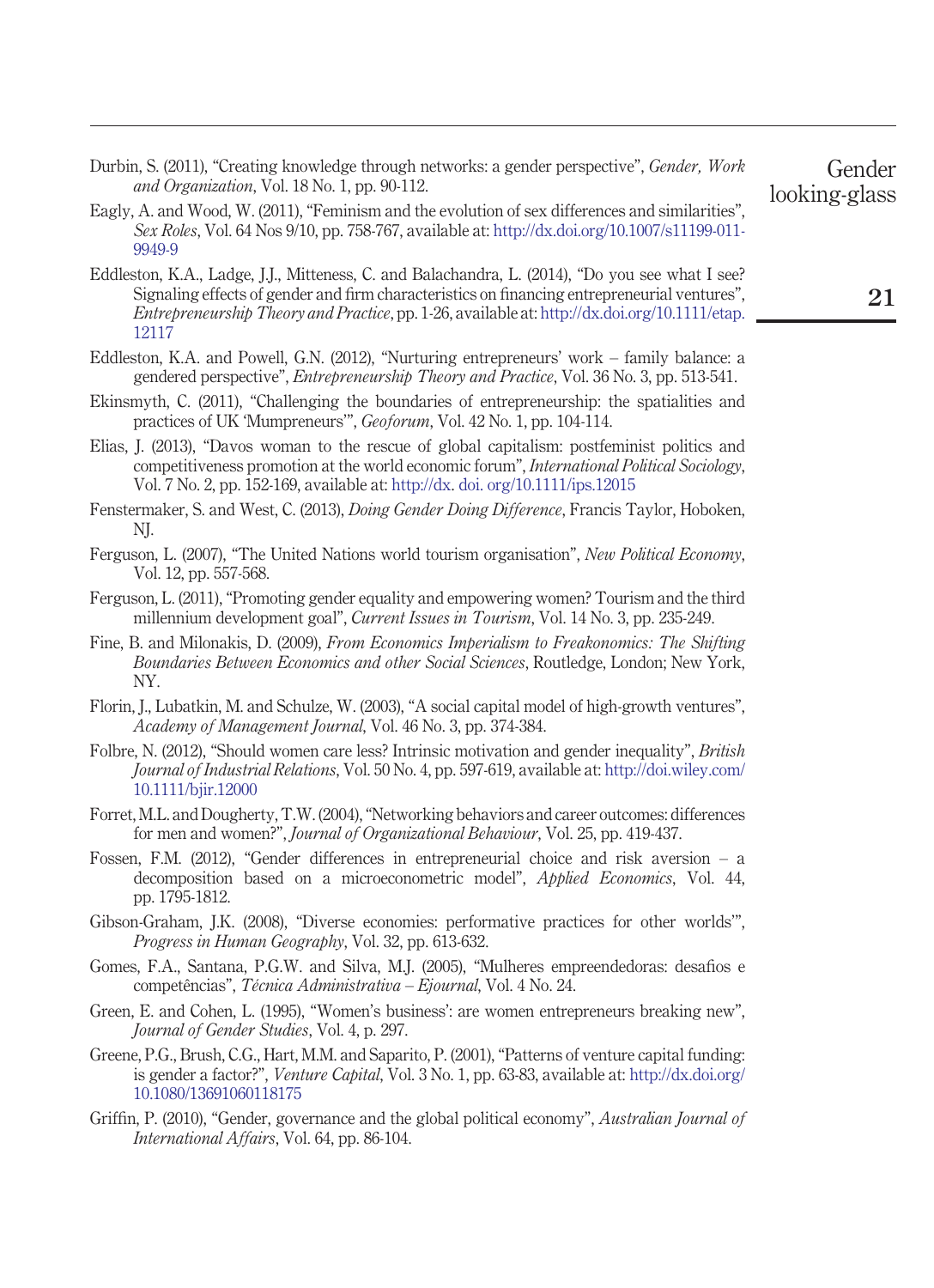<span id="page-20-14"></span>Durbin, S. (2011), "Creating knowledge through networks: a gender perspective", *Gender, Work and Organization*, Vol. 18 No. 1, pp. 90-112.

- <span id="page-20-17"></span>Eagly, A. and Wood, W. (2011), "Feminism and the evolution of sex differences and similarities", *Sex Roles*, Vol. 64 Nos 9/10, pp. 758-767, available at: [http://dx.doi.org/10.1007/s11199-011-](http://dx.doi.org/10.1007/s11199-011-9949-9) [9949-9](http://dx.doi.org/10.1007/s11199-011-9949-9)
- <span id="page-20-12"></span>Eddleston, K.A., Ladge, J.J., Mitteness, C. and Balachandra, L. (2014), "Do you see what I see? Signaling effects of gender and firm characteristics on financing entrepreneurial ventures", *Entrepreneurship Theory and Practice*, pp. 1-26, available at: [http://dx.doi.org/10.1111/etap.](http://dx.doi.org/10.1111/etap.12117) [12117](http://dx.doi.org/10.1111/etap.12117)
- <span id="page-20-13"></span>Eddleston, K.A. and Powell, G.N. (2012), "Nurturing entrepreneurs' work – family balance: a gendered perspective", *Entrepreneurship Theory and Practice*, Vol. 36 No. 3, pp. 513-541.
- <span id="page-20-7"></span>Ekinsmyth, C. (2011), "Challenging the boundaries of entrepreneurship: the spatialities and practices of UK 'Mumpreneurs'", *Geoforum*, Vol. 42 No. 1, pp. 104-114.
- <span id="page-20-18"></span>Elias, J. (2013), "Davos woman to the rescue of global capitalism: postfeminist politics and competitiveness promotion at the world economic forum", *International Political Sociology*, Vol. 7 No. 2, pp. 152-169, available at: [http://dx.](http://dx) [doi. org/10.1111/ips.12015](http://dx.doi.org/doi. org/10.1111/ips.12015)
- <span id="page-20-6"></span>Fenstermaker, S. and West, C. (2013), *Doing Gender Doing Difference*, Francis Taylor, Hoboken, NJ.
- <span id="page-20-5"></span>Ferguson, L. (2007), "The United Nations world tourism organisation", *New Political Economy*, Vol. 12, pp. 557-568.
- <span id="page-20-2"></span>Ferguson, L. (2011), "Promoting gender equality and empowering women? Tourism and the third millennium development goal", *Current Issues in Tourism*, Vol. 14 No. 3, pp. 235-249.
- <span id="page-20-8"></span>Fine, B. and Milonakis, D. (2009), *From Economics Imperialism to Freakonomics: The Shifting Boundaries Between Economics and other Social Sciences*, Routledge, London; New York, NY.
- <span id="page-20-16"></span>Florin, J., Lubatkin, M. and Schulze, W. (2003), "A social capital model of high-growth ventures", *Academy of Management Journal*, Vol. 46 No. 3, pp. 374-384.
- <span id="page-20-3"></span>Folbre, N. (2012), "Should women care less? Intrinsic motivation and gender inequality", *British Journal of Industrial Relations*, Vol. 50 No. 4, pp. 597-619, available at: [http://doi.wiley.com/](http://doi.wiley.com/10.1111/bjir.12000) [10.1111/bjir.12000](http://doi.wiley.com/10.1111/bjir.12000)
- <span id="page-20-15"></span>Forret, M.L. and Dougherty, T.W. (2004), "Networking behaviors and career outcomes: differences for men and women?", *Journal of Organizational Behaviour*, Vol. 25, pp. 419-437.
- <span id="page-20-11"></span>Fossen, F.M. (2012), "Gender differences in entrepreneurial choice and risk aversion – a decomposition based on a microeconometric model", *Applied Economics*, Vol. 44, pp. 1795-1812.
- <span id="page-20-4"></span>Gibson-Graham, J.K. (2008), "Diverse economies: performative practices for other worlds'", *Progress in Human Geography*, Vol. 32, pp. 613-632.
- <span id="page-20-10"></span>Gomes, F.A., Santana, P.G.W. and Silva, M.J. (2005), "Mulheres empreendedoras: desafios e competências", *Técnica Administrativa – Ejournal*, Vol. 4 No. 24.
- <span id="page-20-0"></span>Green, E. and Cohen, L. (1995), "Women's business': are women entrepreneurs breaking new", *Journal of Gender Studies*, Vol. 4, p. 297.
- <span id="page-20-9"></span>Greene, P.G., Brush, C.G., Hart, M.M. and Saparito, P. (2001), "Patterns of venture capital funding: is gender a factor?", *Venture Capital*, Vol. 3 No. 1, pp. 63-83, available at: [http://dx.doi.org/](http://dx.doi.org/10.1080/13691060118175) [10.1080/13691060118175](http://dx.doi.org/10.1080/13691060118175)
- <span id="page-20-1"></span>Griffin, P. (2010), "Gender, governance and the global political economy", *Australian Journal of International Affairs*, Vol. 64, pp. 86-104.

**21**

Gender

looking-glass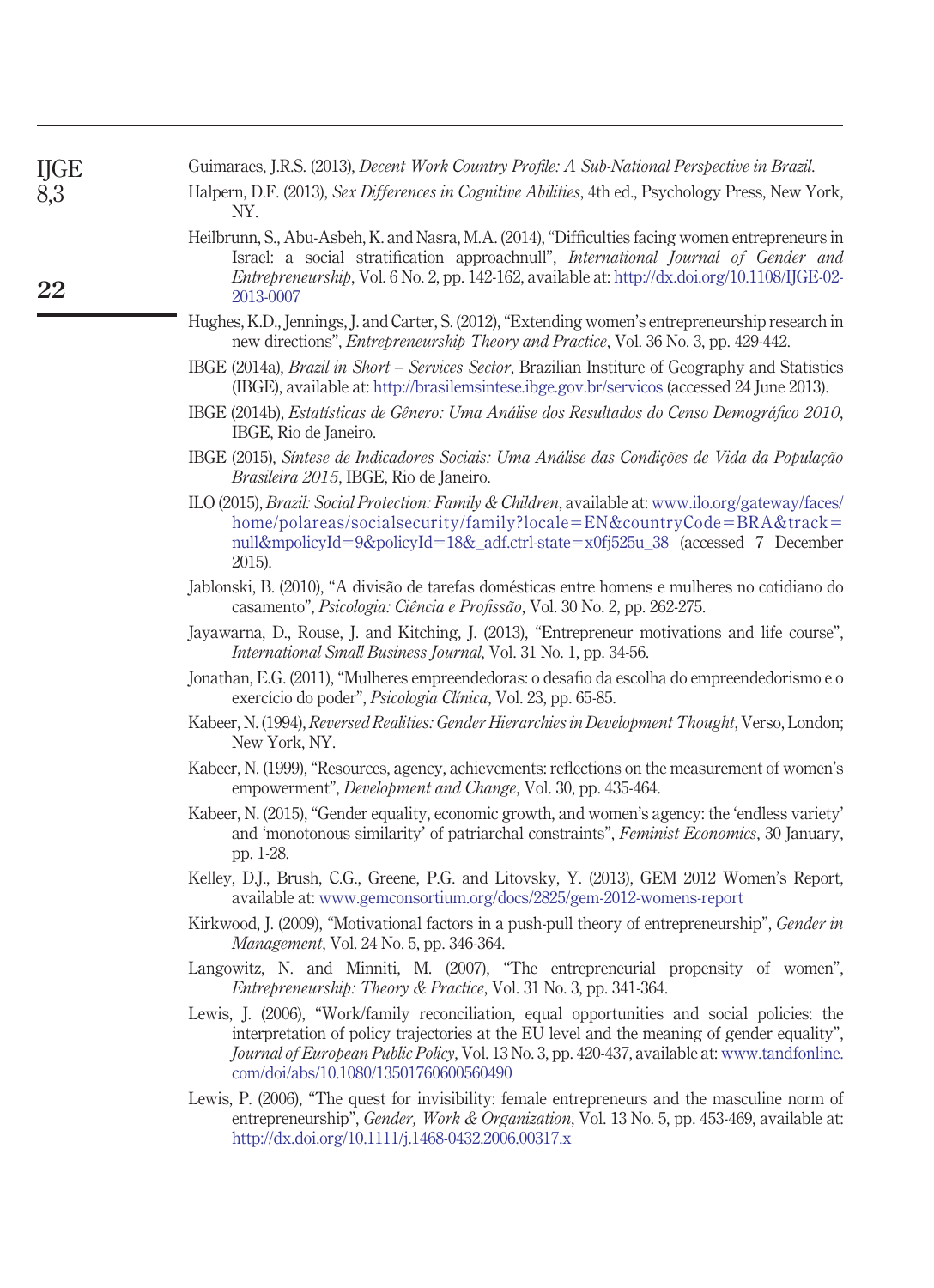<span id="page-21-17"></span><span id="page-21-16"></span><span id="page-21-15"></span><span id="page-21-14"></span><span id="page-21-13"></span><span id="page-21-12"></span><span id="page-21-11"></span><span id="page-21-10"></span><span id="page-21-9"></span><span id="page-21-8"></span><span id="page-21-7"></span><span id="page-21-6"></span><span id="page-21-5"></span><span id="page-21-4"></span><span id="page-21-3"></span><span id="page-21-2"></span><span id="page-21-1"></span><span id="page-21-0"></span>

| <b>IJGE</b> | Guimaraes, J.R.S. (2013), Decent Work Country Profile: A Sub-National Perspective in Brazil.                                                                                                                                                                                                                                        |
|-------------|-------------------------------------------------------------------------------------------------------------------------------------------------------------------------------------------------------------------------------------------------------------------------------------------------------------------------------------|
| 8,3         | Halpern, D.F. (2013), Sex Differences in Cognitive Abilities, 4th ed., Psychology Press, New York,<br>NY.                                                                                                                                                                                                                           |
| 22          | Heilbrunn, S., Abu-Asbeh, K. and Nasra, M.A. (2014), "Difficulties facing women entrepreneurs in<br>Israel: a social stratification approachnull", International Journal of Gender and<br>Entrepreneurship, Vol. 6 No. 2, pp. 142-162, available at: http://dx.doi.org/10.1108/IJGE-02-<br>2013-0007                                |
|             | Hughes, K.D., Jennings, J. and Carter, S. (2012), "Extending women's entrepreneurship research in<br>new directions", <i>Entrepreneurship Theory and Practice</i> , Vol. 36 No. 3, pp. 429-442.                                                                                                                                     |
|             | IBGE (2014a), <i>Brazil in Short – Services Sector</i> , Brazilian Institure of Geography and Statistics<br>(IBGE), available at: http://brasilemsintese.ibge.gov.br/servicos (accessed 24 June 2013).                                                                                                                              |
|             | IBGE (2014b), Estatísticas de Gênero: Uma Análise dos Resultados do Censo Demográfico 2010,<br>IBGE, Rio de Janeiro.                                                                                                                                                                                                                |
|             | IBGE (2015), Síntese de Indicadores Sociais: Uma Análise das Condições de Vida da População<br>Brasileira 2015, IBGE, Rio de Janeiro.                                                                                                                                                                                               |
|             | ILO (2015), Brazil: Social Protection: Family & Children, available at: www.ilo.org/gateway/faces/<br>home/polareas/socialsecurity/family?locale=EN&countryCode=BRA&track=<br>null&mpolicyId=9&policyId=18&_adf.ctrl-state=x0fj525u_38 (accessed 7 December<br>2015).                                                               |
|             | Jablonski, B. (2010), "A divisão de tarefas domésticas entre homens e mulheres no cotidiano do<br>casamento", Psicologia: Ciência e Profissão, Vol. 30 No. 2, pp. 262-275.                                                                                                                                                          |
|             | Jayawarna, D., Rouse, J. and Kitching, J. (2013), "Entrepreneur motivations and life course",<br>International Small Business Journal, Vol. 31 No. 1, pp. 34-56.                                                                                                                                                                    |
|             | Jonathan, E.G. (2011), "Mulheres empreendedoras: o desafio da escolha do empreendedorismo e o<br>exercício do poder", Psicologia Clínica, Vol. 23, pp. 65-85.                                                                                                                                                                       |
|             | Kabeer, N. (1994), Reversed Realities: Gender Hierarchies in Development Thought, Verso, London;<br>New York, NY.                                                                                                                                                                                                                   |
|             | Kabeer, N. (1999), "Resources, agency, achievements: reflections on the measurement of women's<br>empowerment", Development and Change, Vol. 30, pp. 435-464.                                                                                                                                                                       |
|             | Kabeer, N. (2015), "Gender equality, economic growth, and women's agency: the 'endless variety'<br>and 'monotonous similarity' of patriarchal constraints", Feminist Economics, 30 January,<br>pp. 1-28.                                                                                                                            |
|             | Kelley, D.J., Brush, C.G., Greene, P.G. and Litovsky, Y. (2013), GEM 2012 Women's Report,<br>available at: www.gemconsortium.org/docs/2825/gem-2012-womens-report                                                                                                                                                                   |
|             | Kirkwood, J. (2009), "Motivational factors in a push-pull theory of entrepreneurship", Gender in<br><i>Management, Vol. 24 No. 5, pp. 346-364.</i>                                                                                                                                                                                  |
|             | Langowitz, N. and Minniti, M. (2007), "The entrepreneurial propensity of women",<br>Entrepreneurship: Theory & Practice, Vol. 31 No. 3, pp. 341-364.                                                                                                                                                                                |
|             | Lewis, J. (2006), "Work/family reconciliation, equal opportunities and social policies: the<br>interpretation of policy trajectories at the EU level and the meaning of gender equality",<br>Journal of European Public Policy, Vol. 13 No. 3, pp. 420-437, available at: www.tandfonline.<br>com/doi/abs/10.1080/13501760600560490 |
|             | Lewis, P. (2006), "The quest for invisibility: female entrepreneurs and the masculine norm of<br>entrepreneurship", Gender, Work & Organization, Vol. 13 No. 5, pp. 453-469, available at:<br>http://dx.doi.org/10.1111/j.1468-0432.2006.00317.x                                                                                    |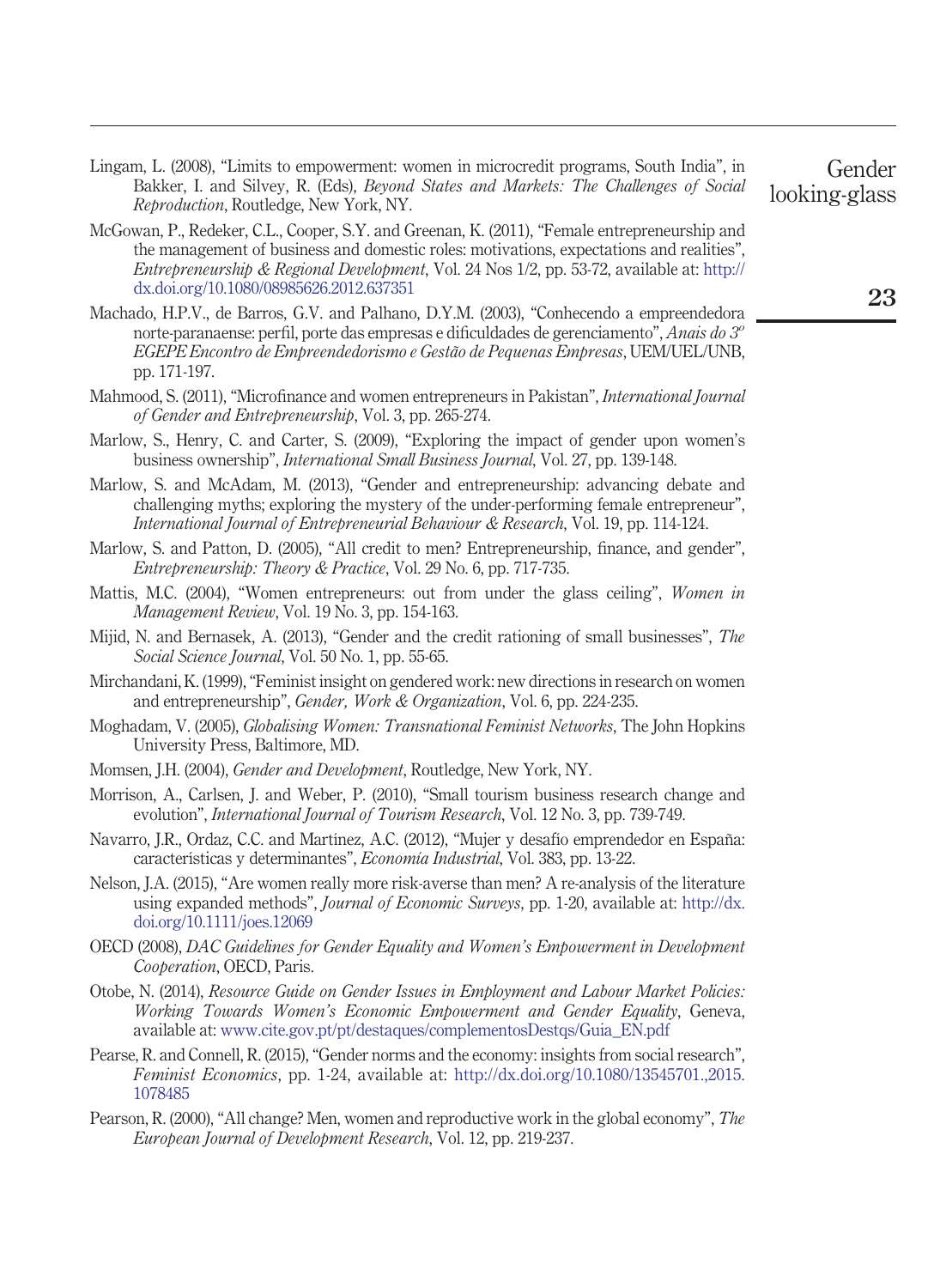- <span id="page-22-9"></span>Lingam, L. (2008), "Limits to empowerment: women in microcredit programs, South India", in Bakker, I. and Silvey, R. (Eds), *Beyond States and Markets: The Challenges of Social Reproduction*, Routledge, New York, NY.
- <span id="page-22-15"></span>McGowan, P., Redeker, C.L., Cooper, S.Y. and Greenan, K. (2011), "Female entrepreneurship and the management of business and domestic roles: motivations, expectations and realities", *Entrepreneurship & Regional Development*, Vol. 24 Nos 1/2, pp. 53-72, available at: [http://](http://dx.doi.org/10.1080/08985626.2012.637351) [dx.doi.org/10.1080/08985626.2012.637351](http://dx.doi.org/10.1080/08985626.2012.637351)
- <span id="page-22-11"></span>Machado, H.P.V., de Barros, G.V. and Palhano, D.Y.M. (2003), "Conhecendo a empreendedora norte-paranaense: perfil, porte das empresas e dificuldades de gerenciamento", *Anais do 3o EGEPE Encontro de Empreendedorismo e Gestão de Pequenas Empresas*, UEM/UEL/UNB, pp. 171-197.
- <span id="page-22-10"></span>Mahmood, S. (2011), "Microfinance and women entrepreneurs in Pakistan", *International Journal of Gender and Entrepreneurship*, Vol. 3, pp. 265-274.
- <span id="page-22-2"></span>Marlow, S., Henry, C. and Carter, S. (2009), "Exploring the impact of gender upon women's business ownership", *International Small Business Journal*, Vol. 27, pp. 139-148.
- <span id="page-22-17"></span>Marlow, S. and McAdam, M. (2013), "Gender and entrepreneurship: advancing debate and challenging myths; exploring the mystery of the under-performing female entrepreneur", *International Journal of Entrepreneurial Behaviour & Research*, Vol. 19, pp. 114-124.
- <span id="page-22-6"></span>Marlow, S. and Patton, D. (2005), "All credit to men? Entrepreneurship, finance, and gender", *Entrepreneurship: Theory & Practice*, Vol. 29 No. 6, pp. 717-735.
- <span id="page-22-16"></span>Mattis, M.C. (2004), "Women entrepreneurs: out from under the glass ceiling", *Women in Management Review*, Vol. 19 No. 3, pp. 154-163.
- <span id="page-22-7"></span>Mijid, N. and Bernasek, A. (2013), "Gender and the credit rationing of small businesses", *The Social Science Journal*, Vol. 50 No. 1, pp. 55-65.
- <span id="page-22-13"></span>Mirchandani, K. (1999), "Feminist insight on gendered work: new directions in research on women and entrepreneurship", *Gender, Work & Organization*, Vol. 6, pp. 224-235.
- <span id="page-22-14"></span>Moghadam, V. (2005), *Globalising Women: Transnational Feminist Networks*, The John Hopkins University Press, Baltimore, MD.
- <span id="page-22-3"></span>Momsen, J.H. (2004), *Gender and Development*, Routledge, New York, NY.
- <span id="page-22-0"></span>Morrison, A., Carlsen, J. and Weber, P. (2010), "Small tourism business research change and evolution", *International Journal of Tourism Research*, Vol. 12 No. 3, pp. 739-749.
- <span id="page-22-12"></span>Navarro, J.R., Ordaz, C.C. and Martínez, A.C. (2012), "Mujer y desafío emprendedor en España: características y determinantes", *Economía Industrial*, Vol. 383, pp. 13-22.
- <span id="page-22-18"></span>Nelson, J.A. (2015), "Are women really more risk-averse than men? A re-analysis of the literature using expanded methods", *Journal of Economic Surveys*, pp. 1-20, available at: [http://dx.](http://dx.doi.org/10.1111/joes.12069) [doi.org/10.1111/joes.12069](http://dx.doi.org/10.1111/joes.12069)
- <span id="page-22-8"></span>OECD (2008), *DAC Guidelines for Gender Equality and Women's Empowerment in Development Cooperation*, OECD, Paris.
- <span id="page-22-5"></span>Otobe, N. (2014), *Resource Guide on Gender Issues in Employment and Labour Market Policies: Working Towards Women's Economic Empowerment and Gender Equality*, Geneva, available at: [www.cite.gov.pt/pt/destaques/complementosDestqs/Guia\\_EN.pdf](http://www.cite.gov.pt/pt/destaques/complementosDestqs/Guia_EN.pdf)
- <span id="page-22-1"></span>Pearse, R. and Connell, R. (2015), "Gender norms and the economy: insights from social research", *Feminist Economics*, pp. 1-24, available at: [http://dx.doi.org/10.1080/13545701.,2015.](http://dx.doi.org/10.1080/13545701.,2015.1078485) [1078485](http://dx.doi.org/10.1080/13545701.,2015.1078485)
- <span id="page-22-4"></span>Pearson, R. (2000), "All change? Men, women and reproductive work in the global economy", *The European Journal of Development Research*, Vol. 12, pp. 219-237.

Gender looking-glass

**23**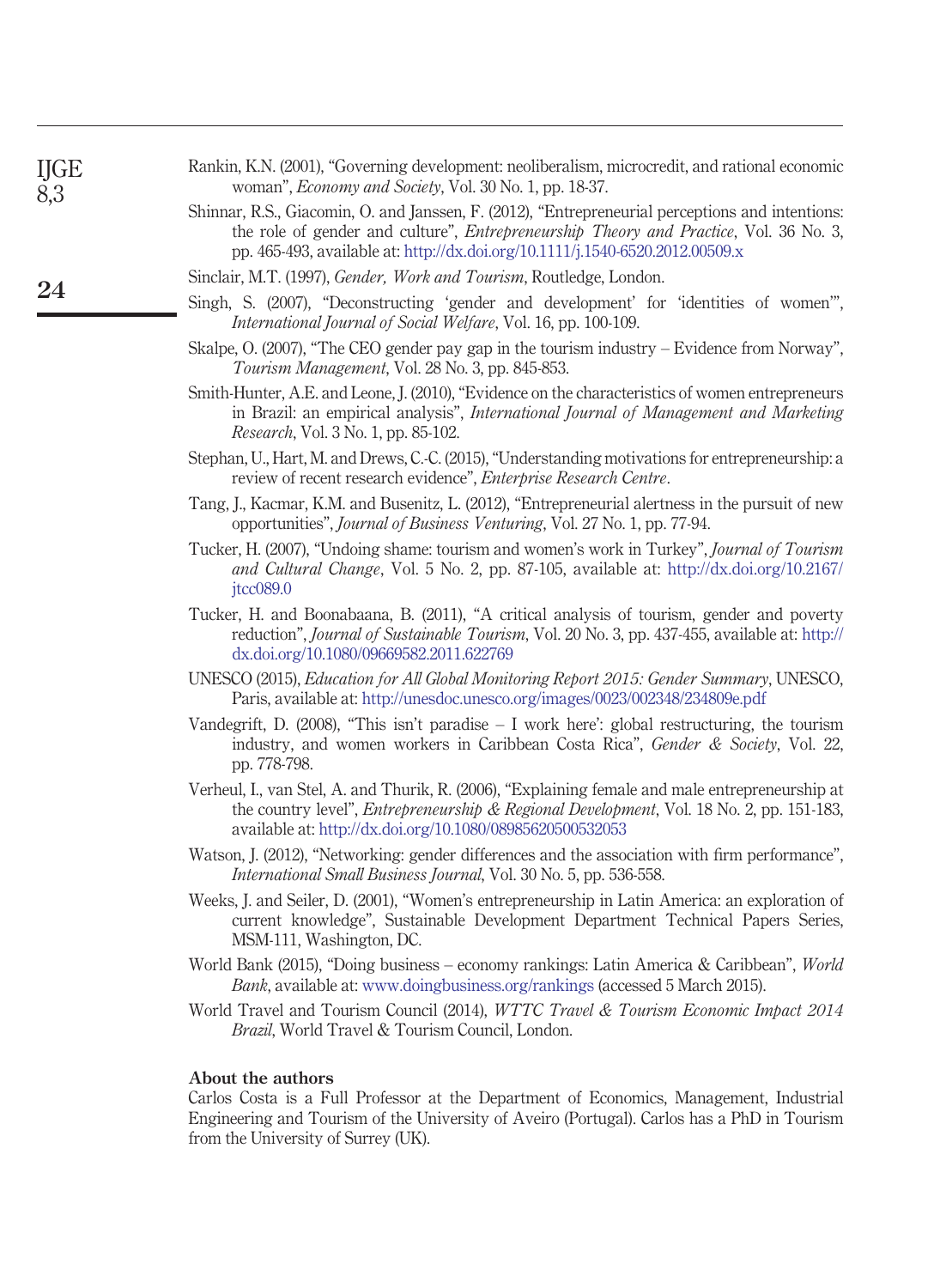<span id="page-23-16"></span>

| Rankin, K.N. (2001), "Governing development: neoliberalism, microcredit, and rational economic |  |                                                                |  |  |
|------------------------------------------------------------------------------------------------|--|----------------------------------------------------------------|--|--|
|                                                                                                |  | woman", <i>Economy and Society</i> , Vol. 30 No. 1, pp. 18-37. |  |  |

<span id="page-23-12"></span>Shinnar, R.S., Giacomin, O. and Janssen, F. (2012), "Entrepreneurial perceptions and intentions: the role of gender and culture", *Entrepreneurship Theory and Practice*, Vol. 36 No. 3, pp. 465-493, available at: <http://dx.doi.org/10.1111/j.1540-6520.2012.00509.x>

<span id="page-23-13"></span>Sinclair, M.T. (1997), *Gender, Work and Tourism*, Routledge, London.

- <span id="page-23-5"></span>Singh, S. (2007), "Deconstructing 'gender and development' for 'identities of women'", *International Journal of Social Welfare*, Vol. 16, pp. 100-109.
- <span id="page-23-15"></span>Skalpe, O. (2007), "The CEO gender pay gap in the tourism industry – Evidence from Norway", *Tourism Management*, Vol. 28 No. 3, pp. 845-853.
- <span id="page-23-3"></span>Smith-Hunter, A.E. and Leone, J. (2010), "Evidence on the characteristics of women entrepreneurs in Brazil: an empirical analysis", *International Journal of Management and Marketing Research*, Vol. 3 No. 1, pp. 85-102.
- <span id="page-23-9"></span>Stephan, U., Hart, M. and Drews, C.-C. (2015), "Understanding motivations for entrepreneurship: a review of recent research evidence", *Enterprise Research Centre*.
- <span id="page-23-10"></span>Tang, J., Kacmar, K.M. and Busenitz, L. (2012), "Entrepreneurial alertness in the pursuit of new opportunities", *Journal of Business Venturing*, Vol. 27 No. 1, pp. 77-94.
- <span id="page-23-4"></span>Tucker, H. (2007), "Undoing shame: tourism and women's work in Turkey", *Journal of Tourism and Cultural Change*, Vol. 5 No. 2, pp. 87-105, available at: [http://dx.doi.org/10.2167/](http://dx.doi.org/10.2167/jtcc089.0) itcc089.0
- <span id="page-23-6"></span>Tucker, H. and Boonabaana, B. (2011), "A critical analysis of tourism, gender and poverty reduction", *Journal of Sustainable Tourism*, Vol. 20 No. 3, pp. 437-455, available at: [http://](http://dx.doi.org/10.1080/09669582.2011.622769) [dx.doi.org/10.1080/09669582.2011.622769](http://dx.doi.org/10.1080/09669582.2011.622769)
- <span id="page-23-0"></span>UNESCO (2015), *Education for All Global Monitoring Report 2015: Gender Summary*, UNESCO, Paris, available at: <http://unesdoc.unesco.org/images/0023/002348/234809e.pdf>
- <span id="page-23-14"></span>Vandegrift, D. (2008), "This isn't paradise  $-1$  work here': global restructuring, the tourism industry, and women workers in Caribbean Costa Rica", *Gender & Society*, Vol. 22, pp. 778-798.
- <span id="page-23-1"></span>Verheul, I., van Stel, A. and Thurik, R. (2006), "Explaining female and male entrepreneurship at the country level", *Entrepreneurship & Regional Development*, Vol. 18 No. 2, pp. 151-183, available at: <http://dx.doi.org/10.1080/08985620500532053>
- <span id="page-23-11"></span>Watson, J. (2012), "Networking: gender differences and the association with firm performance", *International Small Business Journal*, Vol. 30 No. 5, pp. 536-558.
- <span id="page-23-2"></span>Weeks, J. and Seiler, D. (2001), "Women's entrepreneurship in Latin America: an exploration of current knowledge", Sustainable Development Department Technical Papers Series, MSM-111, Washington, DC.
- <span id="page-23-8"></span>World Bank (2015), "Doing business – economy rankings: Latin America & Caribbean", *World Bank*, available at: [www.doingbusiness.org/rankings](http://www.doingbusiness.org/rankings) (accessed 5 March 2015).
- <span id="page-23-7"></span>World Travel and Tourism Council (2014), *WTTC Travel & Tourism Economic Impact 2014 Brazil*, World Travel & Tourism Council, London.

#### **About the authors**

Carlos Costa is a Full Professor at the Department of Economics, Management, Industrial Engineering and Tourism of the University of Aveiro (Portugal). Carlos has a PhD in Tourism from the University of Surrey (UK).

IJGE 8,3